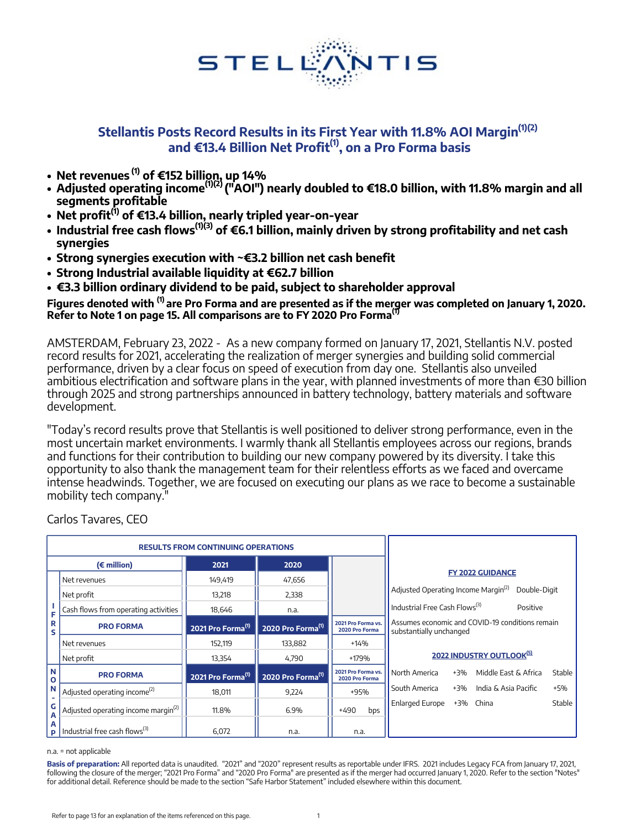

## **Stellantis Posts Record Results in its First Year with 11.8% AOI Margin(1)(2) and €13.4 Billion Net Profit(1), on a Pro Forma basis**

- **• Net revenues (1) of €152 billion, up 14%**
- **• Adjusted operating income(1)(2) ("AOI") nearly doubled to €18.0 billion, with 11.8% margin and all segments profitable**
- **• Net profit(1) of €13.4 billion, nearly tripled year-on-year**
- **• Industrial free cash flows(1)(3) of €6.1 billion, mainly driven by strong profitability and net cash synergies**
- **• Strong synergies execution with ~€3.2 billion net cash benefit**
- **• Strong Industrial available liquidity at €62.7 billion**
- **• €3.3 billion ordinary dividend to be paid, subject to shareholder approval**

**Figures denoted with (1) are Pro Forma and are presented as if the merger was completed on January 1, 2020. Refer to Note 1 on page 15. All comparisons are to FY 2020 Pro Forma(1)**

AMSTERDAM, February 23, 2022 - As a new company formed on January 17, 2021, Stellantis N.V. posted record results for 2021, accelerating the realization of merger synergies and building solid commercial performance, driven by a clear focus on speed of execution from day one. Stellantis also unveiled ambitious electrification and software plans in the year, with planned investments of more than €30 billion through 2025 and strong partnerships announced in battery technology, battery materials and software development.

"Today's record results prove that Stellantis is well positioned to deliver strong performance, even in the most uncertain market environments. I warmly thank all Stellantis employees across our regions, brands and functions for their contribution to building our new company powered by its diversity. I take this opportunity to also thank the management team for their relentless efforts as we faced and overcame intense headwinds. Together, we are focused on executing our plans as we race to become a sustainable mobility tech company."

|                | <b>RESULTS FROM CONTINUING OPERATIONS</b>                |                               |                               |                                      |                                                 |       |                                                 |        |
|----------------|----------------------------------------------------------|-------------------------------|-------------------------------|--------------------------------------|-------------------------------------------------|-------|-------------------------------------------------|--------|
|                | 2020<br>$(\epsilon$ million)<br>2021                     |                               |                               |                                      |                                                 |       |                                                 |        |
|                | Net revenues                                             | 149,419                       | 47,656                        |                                      |                                                 |       | <b>FY 2022 GUIDANCE</b>                         |        |
|                | Net profit                                               | 13,218                        | 2,338                         |                                      | Adjusted Operating Income Margin <sup>(2)</sup> |       | Double-Digit                                    |        |
| F              | Cash flows from operating activities                     | 18,646                        | n.a.                          |                                      | Industrial Free Cash Flows <sup>(3)</sup>       |       | Positive                                        |        |
| R<br>s         | <b>PRO FORMA</b>                                         | 2021 Pro Forma <sup>(1)</sup> | 2020 Pro Forma <sup>(1)</sup> | 2021 Pro Forma vs.<br>2020 Pro Forma | substantially unchanged                         |       | Assumes economic and COVID-19 conditions remain |        |
|                | Net revenues                                             | 152,119                       | 133,882                       | +14%                                 |                                                 |       |                                                 |        |
|                | Net profit                                               | 13,354                        | 4,790                         | +179%                                |                                                 |       | 2022 INDUSTRY OUTLOOK <sup>[5]</sup>            |        |
| l N<br>$\circ$ | <b>PRO FORMA</b>                                         | 2021 Pro Forma <sup>(1)</sup> | 2020 Pro Forma <sup>(1)</sup> | 2021 Pro Forma vs.<br>2020 Pro Forma | North America                                   | $+3%$ | Middle East & Africa                            | Stable |
| N              | Adjusted operating income <sup>(2)</sup>                 | 18.011                        | 9.224                         | +95%                                 | South America                                   | $+3%$ | India & Asia Pacific                            | $+5%$  |
| ٠<br>G<br>A    | Adjusted operating income margin <sup>(2)</sup>          | 11.8%                         | 6.9%                          | $+490$<br>bps                        | <b>Enlarged Europe</b>                          |       | +3% China                                       | Stable |
| А              | $\mathbf{p}$   Industrial free cash flows <sup>(3)</sup> | 6,072                         | n.a.                          | n.a.                                 |                                                 |       |                                                 |        |

Carlos Tavares, CEO

### n.a. = not applicable

**Basis of preparation:** All reported data is unaudited. "2021" and "2020" represent results as reportable under IFRS. 2021 includes Legacy FCA from January 17, 2021, following the closure of the merger; "2021 Pro Forma" and "2020 Pro Forma" are presented as if the merger had occurred January 1, 2020. Refer to the section "Notes" for additional detail. Reference should be made to the section "Safe Harbor Statement" included elsewhere within this document.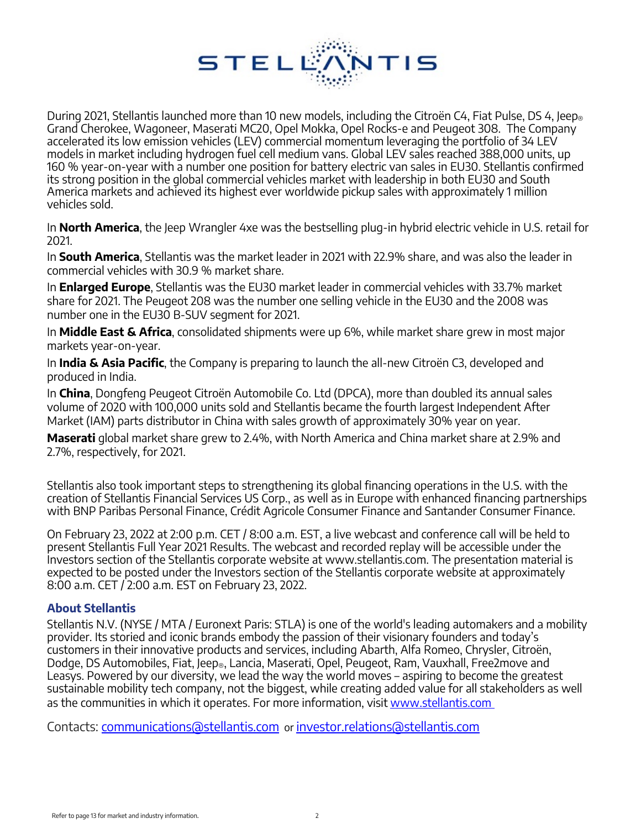

During 2021, Stellantis launched more than 10 new models, including the Citroën C4, Fiat Pulse, DS 4, Jeep. Grand Cherokee, Wagoneer, Maserati MC20, Opel Mokka, Opel Rocks-e and Peugeot 308. The Company accelerated its low emission vehicles (LEV) commercial momentum leveraging the portfolio of 34 LEV models in market including hydrogen fuel cell medium vans. Global LEV sales reached 388,000 units, up 160 % year-on-year with a number one position for battery electric van sales in EU30. Stellantis confirmed its strong position in the global commercial vehicles market with leadership in both EU30 and South America markets and achieved its highest ever worldwide pickup sales with approximately 1 million vehicles sold.

In **North America**, the Jeep Wrangler 4xe was the bestselling plug-in hybrid electric vehicle in U.S. retail for 2021.

In **South America**, Stellantis was the market leader in 2021 with 22.9% share, and was also the leader in commercial vehicles with 30.9 % market share.

In **Enlarged Europe**, Stellantis was the EU30 market leader in commercial vehicles with 33.7% market share for 2021. The Peugeot 208 was the number one selling vehicle in the EU30 and the 2008 was number one in the EU30 B-SUV segment for 2021.

In **Middle East & Africa**, consolidated shipments were up 6%, while market share grew in most major markets year-on-year.

In **India & Asia Pacific**, the Company is preparing to launch the all-new Citroën C3, developed and produced in India.

In **China**, Dongfeng Peugeot Citroën Automobile Co. Ltd (DPCA), more than doubled its annual sales volume of 2020 with 100,000 units sold and Stellantis became the fourth largest Independent After Market (IAM) parts distributor in China with sales growth of approximately 30% year on year.

**Maserati** global market share grew to 2.4%, with North America and China market share at 2.9% and 2.7%, respectively, for 2021.

Stellantis also took important steps to strengthening its global financing operations in the U.S. with the creation of Stellantis Financial Services US Corp., as well as in Europe with enhanced financing partnerships with BNP Paribas Personal Finance, Crédit Agricole Consumer Finance and Santander Consumer Finance.

On February 23, 2022 at 2:00 p.m. CET / 8:00 a.m. EST, a live webcast and conference call will be held to present Stellantis Full Year 2021 Results. The webcast and recorded replay will be accessible under the Investors section of the Stellantis corporate website at www.stellantis.com. The presentation material is expected to be posted under the Investors section of the Stellantis corporate website at approximately 8:00 a.m. CET / 2:00 a.m. EST on February 23, 2022.

## **About Stellantis**

Stellantis N.V. (NYSE / MTA / Euronext Paris: STLA) is one of the world's leading automakers and a mobility provider. Its storied and iconic brands embody the passion of their visionary founders and today's customers in their innovative products and services, including Abarth, Alfa Romeo, Chrysler, Citroën, Dodge, DS Automobiles, Fiat, Jeep®, Lancia, Maserati, Opel, Peugeot, Ram, Vauxhall, Free2move and Leasys. Powered by our diversity, we lead the way the world moves – aspiring to become the greatest sustainable mobility tech company, not the biggest, while creating added value for all st[a](https://www.stellantis.com/en)keholders as well as the communities in which it operates. For more information, visit [www.stellantis.com](https://www.stellantis.com/en)

Contacts: [communications@stellantis.com](mailto:communications@stellantis.com) or [investor.relations@stellantis.com](mailto:investor.relations@stellantis.com)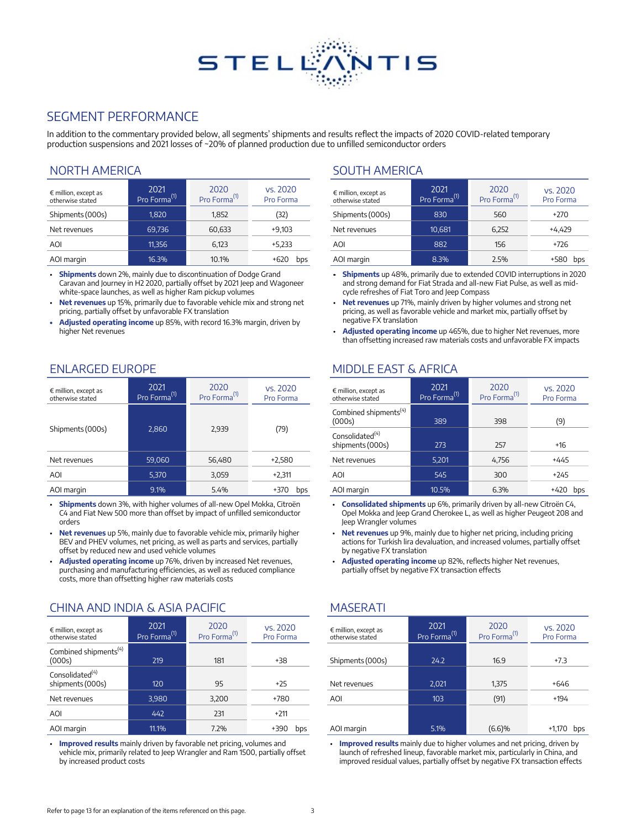# **STELL** NTIS

## SEGMENT PERFORMANCE

In addition to the commentary provided below, all segments' shipments and results reflect the impacts of 2020 COVID-related temporary production suspensions and 2021 losses of ~20% of planned production due to unfilled semiconductor orders

### NORTH AMERICA SOUTH AMERICA

| $\epsilon$ million, except as<br>otherwise stated | 2021<br>Pro Forma <sup>(1)</sup> | 2020<br>Pro Forma <sup>(1)</sup> | vs. 2020<br>Pro Forma | $\epsilon$ million, except as<br>otherwise stated | 2021<br>Pro Forma <sup>(1)</sup> | 2020<br>Pro Forma <sup>(1)</sup> | vs. 2020<br>Pro Forma |
|---------------------------------------------------|----------------------------------|----------------------------------|-----------------------|---------------------------------------------------|----------------------------------|----------------------------------|-----------------------|
| Shipments (000s)                                  | 1,820                            | 1,852                            | (32)                  | Shipments (000s)                                  | 830                              | 560                              | $+270$                |
| Net revenues                                      | 69.736                           | 60.633                           | $+9.103$              | Net revenues                                      | 10.681                           | 6,252                            | $+4,429$              |
| AOI                                               | 11.356                           | 6,123                            | $+5.233$              | AOI                                               | 882                              | 156                              | $+726$                |
| AOI margin                                        | 16.3%                            | 10.1%                            | $+620$<br>bps         | AOI margin                                        | 8.3%                             | 2.5%                             | +580 bps              |

**Shipments** down 2%, mainly due to discontinuation of Dodge Grand Caravan and Journey in H2 2020, partially offset by 2021 Jeep and Wagoneer white-space launches, as well as higher Ram pickup volumes

- **Net revenues** up 15%, primarily due to favorable vehicle mix and strong net pricing, partially offset by unfavorable FX translation
- **• Adjusted operating income** up 85%, with record 16.3% margin, driven by higher Net revenues

| $\epsilon$ million, except as<br>otherwise stated | 2021<br>Pro Forma <sup>(1)</sup> | 2020<br>Pro Forma <sup>(1)</sup> | vs. 2020<br>Pro Forma | $\epsilon$ million, except as<br>otherwise stated | 2021<br>Pro Forma <sup>(1)</sup> | 2020<br>Pro Forma <sup>(1)</sup> | vs. 2020<br>Pro Forma |
|---------------------------------------------------|----------------------------------|----------------------------------|-----------------------|---------------------------------------------------|----------------------------------|----------------------------------|-----------------------|
|                                                   |                                  |                                  |                       | Combined shipments <sup>(4)</sup><br>(000s)       | 389                              | 398                              | (9)                   |
| Shipments (000s)                                  | 2.860                            | 2,939                            | (79)                  | Consolidated <sup>(4)</sup><br>shipments (000s)   | 273                              | 257                              | $+16$                 |
| Net revenues                                      | 59,060                           | 56,480                           | $+2,580$              | Net revenues                                      | 5,201                            | 4,756                            | $+445$                |
| AOI                                               | 5.370                            | 3,059                            | $+2,311$              | AOI                                               | 545                              | 300                              | $+245$                |
| AOI margin                                        | 9.1%                             | 5.4%                             | +370<br>bps           | AOI margin                                        | 10.5%                            | 6.3%                             | $+420$ bps            |

• **Shipments** down 3%, with higher volumes of all-new Opel Mokka, Citroën C4 and Fiat New 500 more than offset by impact of unfilled semiconductor orders

- **Net revenues** up 5%, mainly due to favorable vehicle mix, primarily higher BEV and PHEV volumes, net pricing, as well as parts and services, partially offset by reduced new and used vehicle volumes
- **Adjusted operating income** up 76%, driven by increased Net revenues, purchasing and manufacturing efficiencies, as well as reduced compliance costs, more than offsetting higher raw materials costs

### CHINA AND INDIA & ASIA PACIFIC MASERATI

| $\epsilon$ million, except as<br>otherwise stated | 2021<br>Pro Forma <sup>(1)</sup> | 2020<br>Pro Forma <sup>(1)</sup> | vs. 2020<br>Pro Forma | $\epsilon$ million, except as<br>otherwise stated | 2021<br>Pro Forma <sup>(1)</sup> | 2020<br>Pro Forma <sup>(1)</sup> | vs. 2020<br>Pro Forma |
|---------------------------------------------------|----------------------------------|----------------------------------|-----------------------|---------------------------------------------------|----------------------------------|----------------------------------|-----------------------|
| Combined shipments <sup>(4)</sup><br>(000s)       | 219                              | 181                              | $+38$                 | Shipments (000s)                                  | 24.2                             | 16.9                             | $+7.3$                |
| Consolidated <sup>(4)</sup><br>shipments (000s)   | 120                              | 95                               | $+25$                 | Net revenues                                      | 2,021                            | 1,375                            | $+646$                |
| Net revenues                                      | 3.980                            | 3.200                            | +780                  | AOI                                               | 103                              | (91)                             | $+194$                |
| AOI                                               | 442                              | 231                              | $+211$                |                                                   |                                  |                                  |                       |
| AOI margin                                        | 11.1%                            | 7.2%                             | $+390$<br>bps         | AOI margin                                        | 5.1%                             | (6.6)%                           | +1,170 bps            |

• **Improved results** mainly driven by favorable net pricing, volumes and vehicle mix, primarily related to Jeep Wrangler and Ram 1500, partially offset by increased product costs

| $\epsilon$ million, except as<br>otherwise stated | 2021<br>Pro Forma <sup>(1)</sup> | 2020<br>Pro Forma <sup>(1)</sup> | vs. 2020<br>Pro Forma |
|---------------------------------------------------|----------------------------------|----------------------------------|-----------------------|
| Shipments (000s)                                  | 830                              | 560                              | $+270$                |
| Net revenues                                      | 10.681                           | 6,252                            | +4.429                |
| AOI                                               | 882                              | 156                              | $+726$                |
| AOI margin                                        | 8.3%                             | 2.5%                             |                       |

- **Shipments** up 48%, primarily due to extended COVID interruptions in 2020 and strong demand for Fiat Strada and all-new Fiat Pulse, as well as midcycle refreshes of Fiat Toro and Jeep Compass
- **Net revenues** up 71%, mainly driven by higher volumes and strong net pricing, as well as favorable vehicle and market mix, partially offset by negative FX translation
- **Adjusted operating income** up 465%, due to higher Net revenues, more than offsetting increased raw materials costs and unfavorable FX impacts

## ENLARGED EUROPE MIDDLE EAST & AFRICA

| $\epsilon$ million, except as<br>otherwise stated | 2021<br>Pro Forma <sup>(1)</sup> | 2020<br>Pro Forma <sup>(1)</sup> | vs. 2020<br>Pro Forma |
|---------------------------------------------------|----------------------------------|----------------------------------|-----------------------|
| Combined shipments <sup>(4)</sup><br>(000s)       | 389                              | 398                              | (9)                   |
| Consolidated $(4)$<br>shipments (000s)            | 273                              | 257                              | $+16$                 |
| Net revenues                                      | 5,201                            | 4,756                            | +445                  |
| AOI                                               | 545                              | 300                              | $+245$                |
| AOI margin                                        | 10.5%                            | 6.3%                             | +420<br>bps           |

• **Consolidated shipments** up 6%, primarily driven by all-new Citroën C4, Opel Mokka and Jeep Grand Cherokee L, as well as higher Peugeot 208 and Jeep Wrangler volumes

- **Net revenues** up 9%, mainly due to higher net pricing, including pricing actions for Turkish lira devaluation, and increased volumes, partially offset by negative FX translation
- **Adjusted operating income** up 82%, reflects higher Net revenues, partially offset by negative FX transaction effects

| $\epsilon$ million, except as<br>otherwise stated | 2021<br>Pro Forma <sup>(1)</sup> | 2020<br>Pro Forma <sup>(1)</sup> | vs. 2020<br>Pro Forma |
|---------------------------------------------------|----------------------------------|----------------------------------|-----------------------|
| Shipments (000s)                                  | 24.2                             | 16.9                             | $+7.3$                |
| Net revenues                                      | 2,021                            | 1,375                            | +646                  |
| AOI                                               | 103                              | (91)                             | $+194$                |
|                                                   |                                  |                                  |                       |
| AOI margin                                        | 5.1%                             | (6.6)%                           | $+1,170$<br>bps       |

• **Improved results** mainly due to higher volumes and net pricing, driven by launch of refreshed lineup, favorable market mix, particularly in China, and improved residual values, partially offset by negative FX transaction effects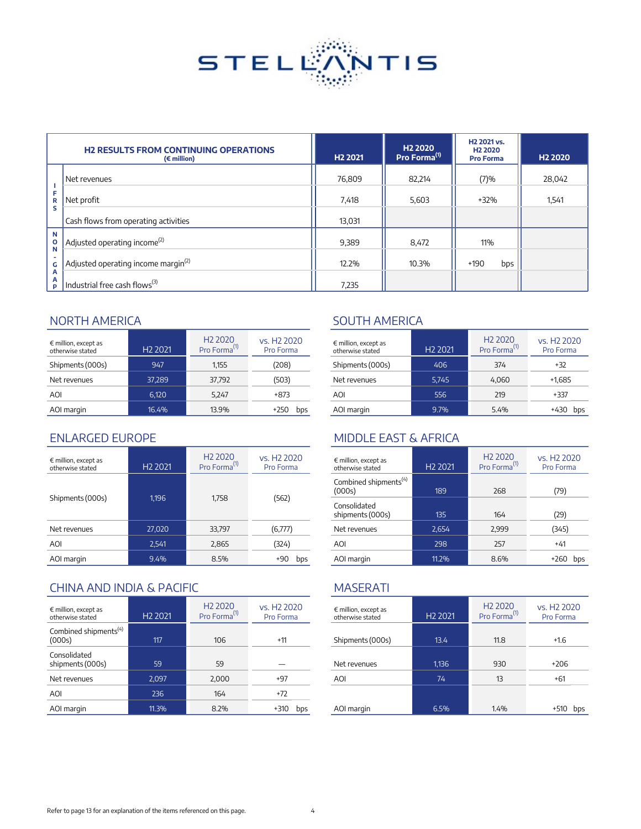

|                        | <b>H2 RESULTS FROM CONTINUING OPERATIONS</b><br>$(\epsilon$ million) | H <sub>2</sub> 2021 | H <sub>2</sub> 2020<br>Pro Forma <sup>(1)</sup> | H <sub>2</sub> 2021 vs.<br>H <sub>2</sub> 2020<br><b>Pro Forma</b> | H <sub>2</sub> 2020 |
|------------------------|----------------------------------------------------------------------|---------------------|-------------------------------------------------|--------------------------------------------------------------------|---------------------|
|                        | Net revenues                                                         | 76,809              | 82,214                                          | (7)%                                                               | 28,042              |
| F<br>R<br>S            | Net profit                                                           | 7,418               | 5,603                                           | +32%                                                               | 1,541               |
|                        | Cash flows from operating activities                                 | 13,031              |                                                 |                                                                    |                     |
| N<br>$\mathbf{o}$<br>N | Adjusted operating income <sup>(2)</sup>                             | 9,389               | 8,472                                           | 11%                                                                |                     |
| G                      | Adjusted operating income margin <sup>(2)</sup>                      | 12.2%               | 10.3%                                           | $+190$<br>bps                                                      |                     |
| А<br>А<br>P            | Industrial free cash flows <sup>(3)</sup>                            | 7,235               |                                                 |                                                                    |                     |

| $\epsilon$ million, except as<br>otherwise stated | H <sub>2</sub> 2021 | H <sub>2</sub> 2020<br>Pro Forma <sup>(1)</sup> | vs. H <sub>2</sub> 2020<br>Pro Forma | $\epsilon$ million, except as<br>otherwise stated | H <sub>2</sub> 2021 | H <sub>2</sub> 2020<br>Pro Forma <sup>(1)</sup> | vs. H <sub>2</sub> 2020<br>Pro Forma |
|---------------------------------------------------|---------------------|-------------------------------------------------|--------------------------------------|---------------------------------------------------|---------------------|-------------------------------------------------|--------------------------------------|
| Shipments (000s)                                  | 947                 | 1,155                                           | (208)                                | Shipments (000s)                                  | 406                 | 374                                             | $+32$                                |
| Net revenues                                      | 37.289              | 37,792                                          | (503)                                | Net revenues                                      | 5,745               | 4.060                                           | $+1,685$                             |
| <b>AOI</b>                                        | 6,120               | 5,247                                           | +873                                 | AOI                                               | 556                 | 219                                             | $+337$                               |
| AOI margin                                        | 16.4%               | 13.9%                                           | $+250$<br>bps                        | AOI margin                                        | 9.7%                | 5.4%                                            | +430 bps                             |

| $\epsilon$ million, except as<br>otherwise stated | H <sub>2</sub> 2021 | H <sub>2</sub> 2020<br>Pro Forma <sup>(1)</sup> | vs. H <sub>2</sub> 2020<br>Pro Forma | $\epsilon$ million, except as<br>otherwise stated | H <sub>2</sub> 2021 | H <sub>2</sub> 2020<br>Pro Forma <sup>(1)</sup> | vs. H <sub>2</sub> 2020<br>Pro Forma |
|---------------------------------------------------|---------------------|-------------------------------------------------|--------------------------------------|---------------------------------------------------|---------------------|-------------------------------------------------|--------------------------------------|
|                                                   | 1,196               | 1,758                                           | (562)                                | Combined shipments <sup>(4)</sup><br>(000s)       | 189                 | 268                                             | (79)                                 |
| Shipments (000s)                                  |                     |                                                 |                                      | Consolidated<br>shipments (000s)                  | 135                 | 164                                             | (29)                                 |
| Net revenues                                      | 27,020              | 33,797                                          | (6,777)                              | Net revenues                                      | 2,654               | 2,999                                           | (345)                                |
| AOI                                               | 2,541               | 2,865                                           | (324)                                | AOI                                               | 298                 | 257                                             | $+41$                                |
| AOI margin                                        | 9.4%                | 8.5%                                            | $+90$<br>bps                         | AOI margin                                        | 11.2%               | 8.6%                                            | +260 bps                             |

## CHINA AND INDIA & PACIFIC MASERATI

| $\epsilon$ million, except as<br>otherwise stated | H <sub>2</sub> 2021 | H <sub>2</sub> 2020<br>Pro Forma <sup>(1)</sup> | vs. H <sub>2</sub> 2020<br>Pro Forma | $\epsilon$ million, except as<br>otherwise stated | H <sub>2</sub> 2021 | H <sub>2</sub> 2020<br>Pro Forma <sup>(1)</sup> | vs. H <sub>2</sub> 2020<br>Pro Forma |
|---------------------------------------------------|---------------------|-------------------------------------------------|--------------------------------------|---------------------------------------------------|---------------------|-------------------------------------------------|--------------------------------------|
| Combined shipments <sup>(4)</sup><br>(000s)       | 117                 | 106                                             | $+11$                                | Shipments (000s)                                  | 13.4                | 11.8                                            | $+1.6$                               |
| Consolidated<br>shipments (000s)                  | 59                  | 59                                              |                                      | Net revenues                                      | 1,136               | 930                                             | $+206$                               |
| Net revenues                                      | 2,097               | 2.000                                           | $+97$                                | <b>AOI</b>                                        | 74                  | 13                                              | $+61$                                |
| AOI                                               | 236                 | 164                                             | $+72$                                |                                                   |                     |                                                 |                                      |
| AOI margin                                        | 11.3%               | 8.2%                                            | $+310$<br>bps                        | AOI margin                                        | 6.5%                | 1.4%                                            | $+510$ bps                           |

## NORTH AMERICA SOUTH AMERICA

| $\epsilon$ million, except as<br>otherwise stated | H <sub>2</sub> 2021 | H <sub>2</sub> 2020<br>Pro Forma <sup>(1)</sup> | vs. H <sub>2</sub> 2020<br>Pro Forma |  |
|---------------------------------------------------|---------------------|-------------------------------------------------|--------------------------------------|--|
| Shipments (000s)                                  | 406                 | 374                                             | +32                                  |  |
| Net revenues                                      | 5.745               | 4.060                                           | $+1.685$                             |  |
| AOI                                               | 556                 | 219                                             | +337                                 |  |
| AOI margin                                        | 9.7%                | 5.4%                                            | bps                                  |  |

## ENLARGED EUROPE MIDDLE EAST & AFRICA

| $\epsilon$ million, except as<br>otherwise stated | H <sub>2</sub> 2021 | H <sub>2</sub> 2020<br>Pro Forma <sup>(1)</sup> | vs. H <sub>2</sub> 2020<br>Pro Forma |
|---------------------------------------------------|---------------------|-------------------------------------------------|--------------------------------------|
| Combined shipments <sup>(4)</sup><br>(000s)       | 189                 | 268                                             | (79)                                 |
| Consolidated<br>shipments (000s)                  | 135                 | 164                                             | (29)                                 |
| Net revenues                                      | 2,654               | 2,999                                           | (345)                                |
| AOI                                               | 298                 | 257                                             | $+41$                                |
| AOI margin                                        | 11.2%               | 8.6%                                            | +260<br>bps                          |

| $\epsilon$ million, except as<br>otherwise stated | H <sub>2</sub> 2021 | H <sub>2</sub> 2020<br>Pro Forma <sup>(1)</sup> | vs. H <sub>2</sub> 2020<br>Pro Forma |
|---------------------------------------------------|---------------------|-------------------------------------------------|--------------------------------------|
|                                                   |                     |                                                 |                                      |
| Shipments (000s)                                  | 13.4                | 11.8                                            | $+1.6$                               |
|                                                   |                     |                                                 |                                      |
| Net revenues                                      | 1,136               | 930                                             | $+206$                               |
| AOI                                               | 74                  | 13                                              | +61                                  |
|                                                   |                     |                                                 |                                      |
| AOI margin                                        | 6.5%                | 1.4%                                            | +510<br>bps                          |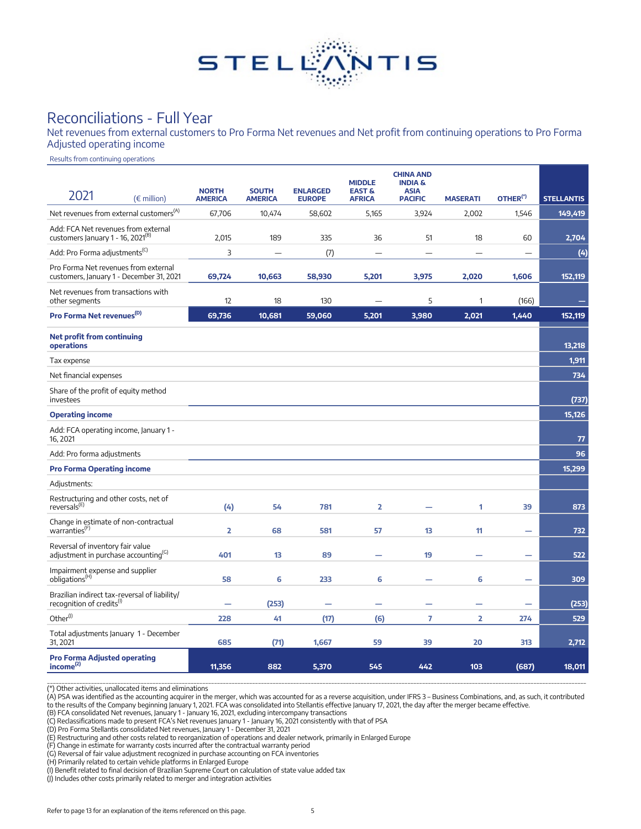

# Reconciliations - Full Year

Net revenues from external customers to Pro Forma Net revenues and Net profit from continuing operations to Pro Forma Adjusted operating income

Results from continuing operations

| 2021<br>$(\epsilon$ million)                                                           | <b>NORTH</b><br><b>AMERICA</b> | <b>SOUTH</b><br><b>AMERICA</b> | <b>ENLARGED</b><br><b>EUROPE</b> | <b>MIDDLE</b><br><b>EAST &amp;</b><br><b>AFRICA</b> | <b>CHINA AND</b><br><b>INDIA &amp;</b><br><b>ASIA</b><br><b>PACIFIC</b> | <b>MASERATI</b> | OTHER <sup>(*)</sup>     | <b>STELLANTIS</b> |
|----------------------------------------------------------------------------------------|--------------------------------|--------------------------------|----------------------------------|-----------------------------------------------------|-------------------------------------------------------------------------|-----------------|--------------------------|-------------------|
| Net revenues from external customers <sup>(A)</sup>                                    | 67,706                         | 10,474                         | 58,602                           | 5,165                                               | 3,924                                                                   | 2,002           | 1,546                    | 149,419           |
| Add: FCA Net revenues from external<br>customers January 1 - 16, 2021 <sup>(B)</sup>   | 2,015                          | 189                            | 335                              | 36                                                  | 51                                                                      | 18              | 60                       | 2,704             |
| Add: Pro Forma adjustments <sup>(C)</sup>                                              | 3                              | $\equiv$                       | (7)                              | $\overline{\phantom{a}}$                            | $\equiv$                                                                |                 |                          | (4)               |
| Pro Forma Net revenues from external<br>customers, January 1 - December 31, 2021       | 69,724                         | 10,663                         | 58,930                           | 5,201                                               | 3,975                                                                   | 2,020           | 1,606                    | 152,119           |
| Net revenues from transactions with<br>other segments                                  | 12                             | 18                             | 130                              |                                                     | 5                                                                       | 1               | (166)                    |                   |
| Pro Forma Net revenues <sup>(D)</sup>                                                  | 69,736                         | 10,681                         | 59,060                           | 5,201                                               | 3,980                                                                   | 2,021           | 1,440                    | 152,119           |
| <b>Net profit from continuing</b><br>operations                                        |                                |                                |                                  |                                                     |                                                                         |                 |                          | 13,218            |
| Tax expense                                                                            |                                |                                |                                  |                                                     |                                                                         |                 |                          | 1,911             |
| Net financial expenses                                                                 |                                |                                |                                  |                                                     |                                                                         |                 |                          | 734               |
| Share of the profit of equity method<br>investees                                      |                                |                                |                                  |                                                     |                                                                         |                 |                          | (737)             |
| <b>Operating income</b>                                                                |                                |                                |                                  |                                                     |                                                                         |                 |                          | 15,126            |
| Add: FCA operating income, January 1 -<br>16, 2021                                     |                                |                                |                                  |                                                     |                                                                         |                 |                          | 77                |
| Add: Pro forma adjustments                                                             |                                |                                |                                  |                                                     |                                                                         |                 |                          | 96                |
| <b>Pro Forma Operating income</b>                                                      |                                |                                |                                  |                                                     |                                                                         |                 |                          | 15,299            |
| Adjustments:                                                                           |                                |                                |                                  |                                                     |                                                                         |                 |                          |                   |
| Restructuring and other costs, net of<br>reversals <sup>(E)</sup>                      | (4)                            | 54                             | 781                              | 2                                                   |                                                                         | 1               | 39                       | 873               |
| Change in estimate of non-contractual<br>warranties <sup>(F)</sup>                     | $\overline{\mathbf{2}}$        | 68                             | 581                              | 57                                                  | 13                                                                      | 11              | -                        | 732               |
| Reversal of inventory fair value<br>adjustment in purchase accounting <sup>(G)</sup>   | 401                            | 13                             | 89                               |                                                     | 19                                                                      |                 | $\overline{\phantom{0}}$ | 522               |
| Impairment expense and supplier<br>obligations <sup>(H)</sup>                          | 58                             | 6                              | 233                              | 6                                                   |                                                                         | 6               |                          | 309               |
| Brazilian indirect tax-reversal of liability/<br>recognition of credits <sup>(1)</sup> |                                | (253)                          |                                  |                                                     |                                                                         |                 |                          | (253)             |
| Other <sup>(1)</sup>                                                                   | 228                            | 41                             | (17)                             | (6)                                                 | $\overline{7}$                                                          | $\overline{2}$  | 274                      | 529               |
| Total adjustments January 1 - December<br>31, 2021                                     | 685                            | (71)                           | 1,667                            | 59                                                  | 39                                                                      | 20              | 313                      | 2,712             |
| <b>Pro Forma Adjusted operating</b><br>income <sup>(2)</sup>                           | 11,356                         | 882                            | 5,370                            | 545                                                 | 442                                                                     | 103             | (687)                    | 18,011            |

\_\_\_\_\_\_\_\_\_\_\_\_\_\_\_\_\_\_\_\_\_\_\_\_\_\_\_\_\_\_\_\_\_\_\_\_\_\_\_\_\_\_\_\_\_\_\_\_\_\_\_\_\_\_\_\_\_\_\_\_\_\_\_\_\_\_\_\_\_\_\_\_\_\_\_\_\_\_\_\_\_\_\_\_\_\_\_\_\_\_\_\_\_\_\_\_\_\_\_\_\_\_\_\_\_\_\_\_\_\_\_\_\_\_\_\_\_\_\_\_\_\_\_\_\_\_\_\_\_\_\_\_\_\_\_\_\_\_\_\_\_\_\_\_\_\_\_\_\_\_\_\_\_\_\_\_\_\_\_\_\_\_\_\_\_\_\_\_\_\_\_\_\_\_\_\_\_\_\_\_\_\_\_\_ (\*) Other activities, unallocated items and eliminations

(A) PSA was identified as the accounting acquirer in the merger, which was accounted for as a reverse acquisition, under IFRS 3 – Business Combinations, and, as such, it contributed<br>to the results of the Company beginning

(B) FCA consolidated Net revenues, January 1 - January 16, 2021, excluding intercompany transactions

(C) Reclassifications made to present FCA's Net revenues January 1 - January 16, 2021 consistently with that of PSA<br>(D) Pro Forma Stellantis consolidated Net revenues, January 1 - December 31, 2021

(E) Restructuring and other costs related to reorganization of operations and dealer network, primarily in Enlarged Europe (F) Change in estimate for warranty costs incurred after the contractual warranty period

(G) Reversal of fair value adjustment recognized in purchase accounting on FCA inventories<br>(H) Primarily related to certain vehicle platforms in Enlarged Europe<br>(I) Benefit related to final decision of Brazilian Supreme Co

(J) Includes other costs primarily related to merger and integration activities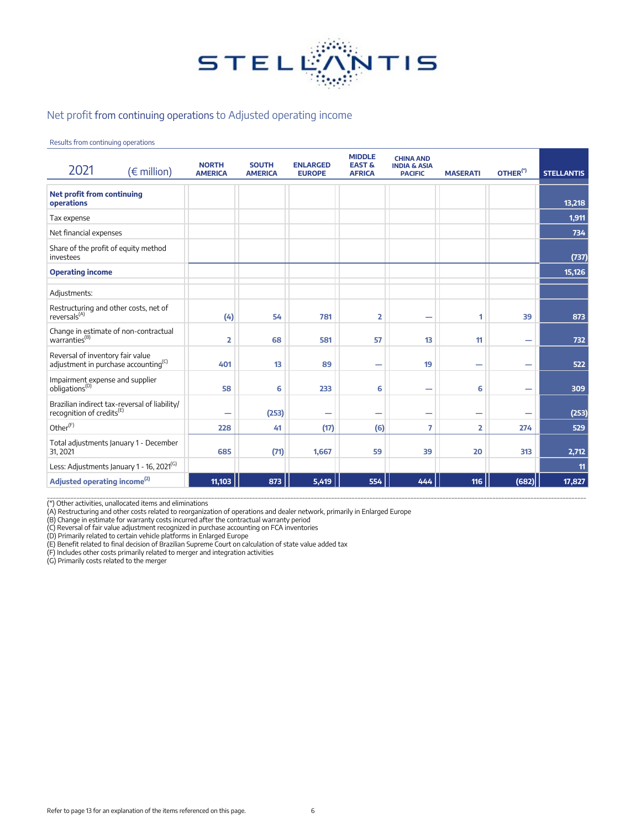

### Net profit from continuing operations to Adjusted operating income

Results from continuing operations

| 2021                                                                                   | $(\epsilon$ million) | <b>NORTH</b><br><b>AMERICA</b> | <b>SOUTH</b><br><b>AMERICA</b> | <b>ENLARGED</b><br><b>EUROPE</b> | <b>MIDDLE</b><br><b>EAST &amp;</b><br><b>AFRICA</b> | <b>CHINA AND</b><br><b>INDIA &amp; ASIA</b><br><b>PACIFIC</b> | <b>MASERATI</b>          | OTHER <sup>(*)</sup> | <b>STELLANTIS</b> |
|----------------------------------------------------------------------------------------|----------------------|--------------------------------|--------------------------------|----------------------------------|-----------------------------------------------------|---------------------------------------------------------------|--------------------------|----------------------|-------------------|
| <b>Net profit from continuing</b><br>operations                                        |                      |                                |                                |                                  |                                                     |                                                               |                          |                      | 13,218            |
| Tax expense                                                                            |                      |                                |                                |                                  |                                                     |                                                               |                          |                      | 1,911             |
| Net financial expenses                                                                 |                      |                                |                                |                                  |                                                     |                                                               |                          |                      | 734               |
| Share of the profit of equity method<br>investees                                      |                      |                                |                                |                                  |                                                     |                                                               |                          |                      | (737)             |
| <b>Operating income</b>                                                                |                      |                                |                                |                                  |                                                     |                                                               |                          |                      | 15,126            |
| Adjustments:                                                                           |                      |                                |                                |                                  |                                                     |                                                               |                          |                      |                   |
| Restructuring and other costs, net of<br>reversals <sup>(A)</sup>                      |                      | (4)                            | 54                             | 781                              | $\overline{\mathbf{2}}$                             | -                                                             | 1                        | 39                   | 873               |
| Change in estimate of non-contractual<br>warranties <sup>(B)</sup>                     |                      | 2                              | 68                             | 581                              | 57                                                  | 13                                                            | 11                       |                      | 732               |
| Reversal of inventory fair value<br>adjustment in purchase accounting <sup>(C)</sup>   |                      | 401                            | 13                             | 89                               | $\overline{\phantom{0}}$                            | 19                                                            | $\overline{\phantom{0}}$ | -                    | 522               |
| Impairment expense and supplier<br>obligations <sup>(D)</sup>                          |                      | 58                             | 6                              | 233                              | 6                                                   | -                                                             | 6                        |                      | 309               |
| Brazilian indirect tax-reversal of liability/<br>recognition of credits <sup>(E)</sup> |                      | -                              | (253)                          | $\overline{\phantom{0}}$         | -                                                   | -                                                             | —                        |                      | (253)             |
| Other <sup>(F)</sup>                                                                   |                      | 228                            | 41                             | (17)                             | (6)                                                 | 7                                                             | 2                        | 274                  | 529               |
| Total adjustments January 1 - December<br>31, 2021                                     |                      | 685                            | (71)                           | 1,667                            | 59                                                  | 39                                                            | 20                       | 313                  | 2,712             |
| Less: Adjustments January 1 - 16, 2021 <sup>(G)</sup>                                  |                      |                                |                                |                                  |                                                     |                                                               |                          |                      | 11                |
| Adjusted operating income <sup>(2)</sup>                                               |                      | 11,103                         | 873                            | 5,419                            | 554                                                 | 444                                                           | 116                      | (682)                | 17,827            |

\_\_\_\_\_\_\_\_\_\_\_\_\_\_\_\_\_\_\_\_\_\_\_\_\_\_\_\_\_\_\_\_\_\_\_\_\_\_\_\_\_\_\_\_\_\_\_\_\_\_\_\_\_\_\_\_\_\_\_\_\_\_\_\_\_\_\_\_\_\_\_\_\_\_\_\_\_\_\_\_\_\_\_\_\_\_\_\_\_\_\_\_\_\_\_\_\_\_\_\_\_\_\_\_\_\_\_\_\_\_\_\_\_\_\_\_\_\_\_\_\_\_\_\_\_\_\_\_\_\_\_\_\_\_\_\_\_\_\_\_\_\_\_\_\_\_\_\_\_\_\_\_\_\_\_\_\_\_\_\_\_\_\_\_\_\_\_\_\_\_\_\_\_\_\_\_\_\_\_\_\_\_\_\_ (\*) Other activities, unallocated items and eliminations (A) Restructuring and other costs related to reorganization of operations and dealer network, primarily in Enlarged Europe (B) Change in estimate for warranty costs incurred after the contractual warranty period

(C) Reversal of fair value adjustment recognized in purchase accounting on FCA inventories (D) Primarily related to certain vehicle platforms in Enlarged Europe

(E) Benefit related to final decision of Brazilian Supreme Court on calculation of state value added tax<br>(F) Includes other costs primarily related to merger and integration activities<br>(G) Primarily costs related to the me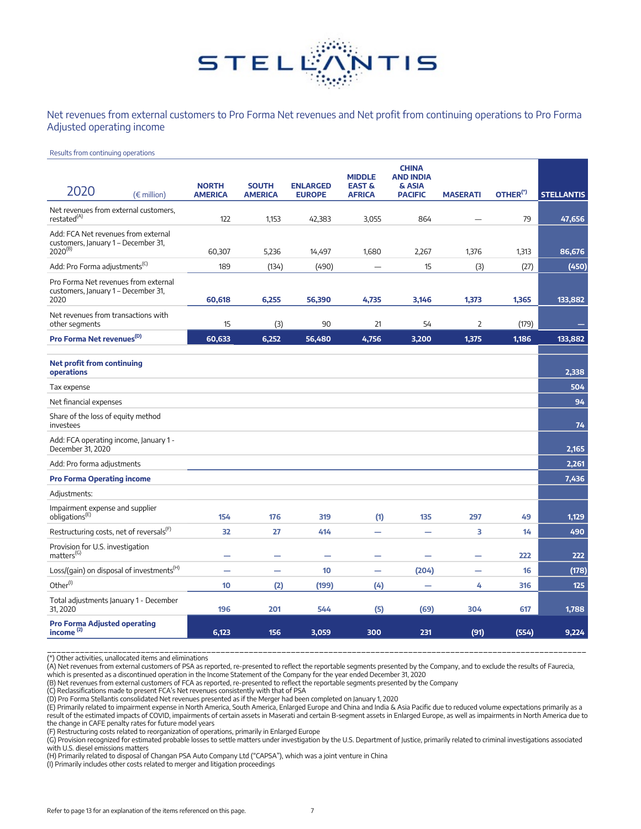

Net revenues from external customers to Pro Forma Net revenues and Net profit from continuing operations to Pro Forma Adjusted operating income

#### Results from continuing operations

|                                                                                            |                                |                                |                                  | <b>MIDDLE</b>                      | <b>CHINA</b><br><b>AND INDIA</b> |                 |                      |                   |
|--------------------------------------------------------------------------------------------|--------------------------------|--------------------------------|----------------------------------|------------------------------------|----------------------------------|-----------------|----------------------|-------------------|
| 2020<br>$(\epsilon$ million)                                                               | <b>NORTH</b><br><b>AMERICA</b> | <b>SOUTH</b><br><b>AMERICA</b> | <b>ENLARGED</b><br><b>EUROPE</b> | <b>EAST &amp;</b><br><b>AFRICA</b> | & ASIA<br><b>PACIFIC</b>         | <b>MASERATI</b> | OTHER <sup>(*)</sup> | <b>STELLANTIS</b> |
| Net revenues from external customers,<br>restated <sup>(A)</sup>                           | 122                            | 1,153                          | 42,383                           | 3,055                              | 864                              |                 | 79                   | 47,656            |
| Add: FCA Net revenues from external<br>customers, January 1 - December 31,<br>$2020^{(B)}$ | 60,307                         | 5,236                          | 14,497                           | 1,680                              | 2,267                            | 1,376           | 1,313                | 86,676            |
| Add: Pro Forma adjustments <sup>(C)</sup>                                                  | 189                            | (134)                          | (490)                            |                                    | 15                               | (3)             | (27)                 | (450)             |
| Pro Forma Net revenues from external<br>customers, January 1 - December 31,<br>2020        | 60,618                         | 6,255                          | 56,390                           | 4,735                              | 3,146                            | 1,373           | 1,365                | 133,882           |
| Net revenues from transactions with<br>other segments                                      | 15                             | (3)                            | 90                               | 21                                 | 54                               | $\overline{2}$  | (179)                |                   |
| Pro Forma Net revenues <sup>(D)</sup>                                                      | 60.633                         | 6,252                          | 56,480                           | 4,756                              | 3,200                            | 1,375           | 1,186                | 133,882           |
| <b>Net profit from continuing</b><br>operations                                            |                                |                                |                                  |                                    |                                  |                 |                      | 2.338             |
| Tax expense                                                                                |                                |                                |                                  |                                    |                                  |                 |                      | 504               |
| Net financial expenses                                                                     |                                |                                |                                  |                                    |                                  |                 |                      | 94                |
| Share of the loss of equity method<br>investees                                            |                                |                                |                                  |                                    |                                  |                 |                      | 74                |
| Add: FCA operating income, January 1 -<br>December 31, 2020                                |                                |                                |                                  |                                    |                                  |                 |                      | 2,165             |
| Add: Pro forma adjustments                                                                 |                                |                                |                                  |                                    |                                  |                 |                      | 2,261             |
| <b>Pro Forma Operating income</b>                                                          |                                |                                |                                  |                                    |                                  |                 |                      | 7,436             |
| Adjustments:                                                                               |                                |                                |                                  |                                    |                                  |                 |                      |                   |
| Impairment expense and supplier<br>obligations <sup>(E)</sup>                              | 154                            | 176                            | 319                              | (1)                                | 135                              | 297             | 49                   | 1,129             |
| Restructuring costs, net of reversals <sup>(F)</sup>                                       | 32                             | 27                             | 414                              |                                    |                                  | 3               | 14                   | 490               |
| Provision for U.S. investigation<br>matters <sup>(G)</sup>                                 | -                              |                                | ۰                                |                                    |                                  |                 | 222                  | 222               |
| Loss/(gain) on disposal of investments <sup>(H)</sup>                                      |                                |                                | 10                               | -                                  | (204)                            | -               | 16                   | (178)             |
| Other <sup>(I)</sup>                                                                       | 10                             | (2)                            | (199)                            | (4)                                |                                  | 4               | 316                  | 125               |
| Total adjustments January 1 - December<br>31, 2020                                         | 196                            | 201                            | 544                              | (5)                                | (69)                             | 304             | 617                  | 1,788             |
| <b>Pro Forma Adjusted operating</b><br>income $(2)$                                        | 6,123                          | 156                            | 3,059                            | 300                                | 231                              | (91)            | (554)                | 9,224             |

\_\_\_\_\_\_\_\_\_\_\_\_\_\_\_\_\_\_\_\_\_\_\_\_\_\_\_\_\_\_\_\_\_\_\_\_\_\_\_\_\_\_\_\_\_\_\_\_\_\_\_\_\_\_\_\_\_\_\_\_\_\_\_\_\_\_\_\_\_\_\_\_\_\_\_\_\_\_\_\_\_\_\_\_\_\_\_\_\_\_\_\_\_\_\_\_\_\_\_\_\_\_\_\_\_\_\_\_\_\_\_\_\_\_\_ (\*) Other activities, unallocated items and eliminations (A) Net revenues from external customers of PSA as reported, re-presented to reflect the reportable segments presented by the Company, and to exclude the results of Faurecia,

which is presented as a discontinued operation in the Income Statement of the Company for the year ended December 31, 2020

(B) Net revenues from external customers of FCA as reported, re-presented to reflect the reportable segments presented by the Company (C) Reclassifications made to present FCA's Net revenues consistently with that of PSA

(D) Pro Forma Stellantis consolidated Net revenues presented as if the Merger had been completed on January 1, 2020

(E) Primarily related to impairment expense in North America, South America, Enlarged Europe and China and India & Asia Pacific due to reduced volume expectations primarily as a result of the estimated impacts of COVID, impairments of certain assets in Maserati and certain B-segment assets in Enlarged Europe, as well as impairments in North America due to the change in CAFE penalty rates for future model years

(F) Restructuring costs related to reorganization of operations, primarily in Enlarged Europe

(G) Provision recognized for estimated probable losses to settle matters under investigation by the U.S. Department of Justice, primarily related to criminal investigations associated with U.S. diesel emissions matters

(H) Primarily related to disposal of Changan PSA Auto Company Ltd ("CAPSA"), which was a joint venture in China

(I) Primarily includes other costs related to merger and litigation proceedings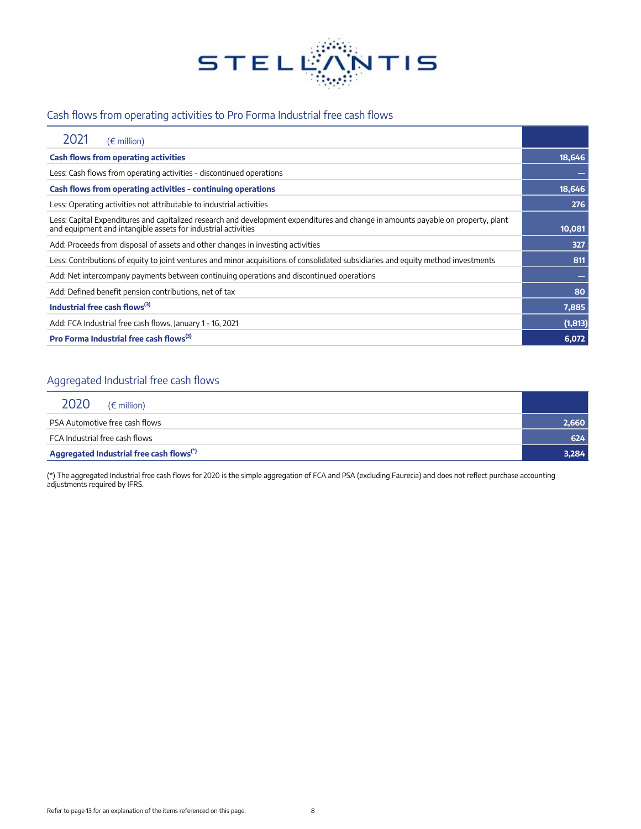

## Cash flows from operating activities to Pro Forma Industrial free cash flows

| $(\epsilon$ million)                                                                                                                                                                               |          |
|----------------------------------------------------------------------------------------------------------------------------------------------------------------------------------------------------|----------|
| <b>Cash flows from operating activities</b>                                                                                                                                                        | 18,646   |
| Less: Cash flows from operating activities - discontinued operations                                                                                                                               |          |
| Cash flows from operating activities - continuing operations                                                                                                                                       | 18,646   |
| Less: Operating activities not attributable to industrial activities                                                                                                                               | 276      |
| Less: Capital Expenditures and capitalized research and development expenditures and change in amounts payable on property, plant<br>and equipment and intangible assets for industrial activities | 10,081   |
| Add: Proceeds from disposal of assets and other changes in investing activities                                                                                                                    | 327      |
| Less: Contributions of equity to joint ventures and minor acquisitions of consolidated subsidiaries and equity method investments                                                                  | 811      |
| Add: Net intercompany payments between continuing operations and discontinued operations                                                                                                           |          |
| Add: Defined benefit pension contributions, net of tax                                                                                                                                             | 80       |
| Industrial free cash flows $^{(3)}$                                                                                                                                                                | 7,885    |
| Add: FCA Industrial free cash flows, January 1 - 16, 2021                                                                                                                                          | (1, 813) |
| Pro Forma Industrial free cash flows <sup>(3)</sup>                                                                                                                                                | 6,072    |

## Aggregated Industrial free cash flows

| 2020<br>$(\epsilon$ million)                         |       |
|------------------------------------------------------|-------|
| PSA Automotive free cash flows                       | 2,660 |
| FCA Industrial free cash flows                       | 624   |
| Aggregated Industrial free cash flows <sup>(*)</sup> | 3,284 |

(\*) The aggregated Industrial free cash flows for 2020 is the simple aggregation of FCA and PSA (excluding Faurecia) and does not reflect purchase accounting adjustments required by IFRS.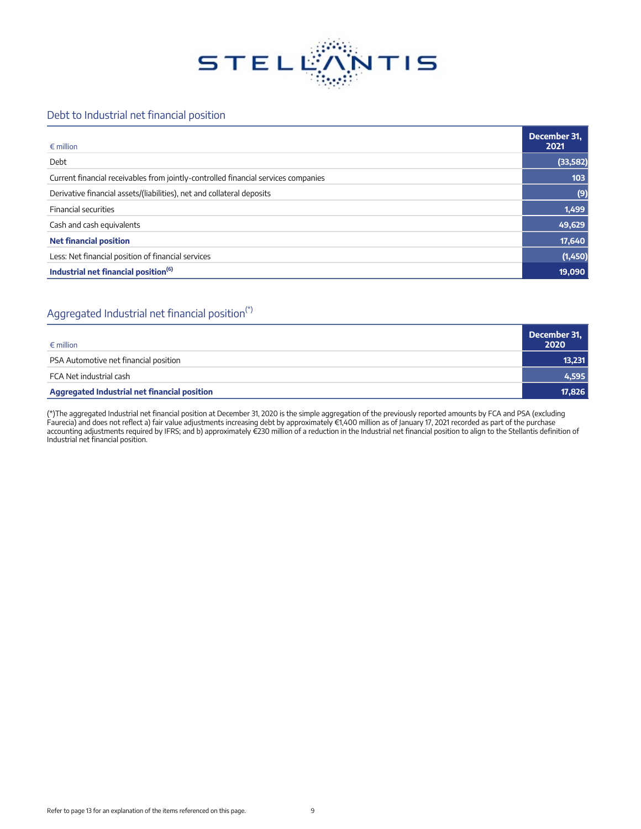

### Debt to Industrial net financial position

| $\epsilon$ million                                                                 | December 31,<br>2021 |
|------------------------------------------------------------------------------------|----------------------|
| Debt                                                                               | (33, 582)            |
| Current financial receivables from jointly-controlled financial services companies | 103                  |
| Derivative financial assets/(liabilities), net and collateral deposits             | (9)                  |
| <b>Financial securities</b>                                                        | 1,499                |
| Cash and cash equivalents                                                          | 49,629               |
| <b>Net financial position</b>                                                      | 17,640               |
| Less: Net financial position of financial services                                 | (1,450)              |
| Industrial net financial position <sup>(6)</sup>                                   | 19,090               |

## Aggregated Industrial net financial position<sup>(\*)</sup>

| $\epsilon$ million                                  | December 31,<br>2020 |
|-----------------------------------------------------|----------------------|
| PSA Automotive net financial position               | 13,231               |
| FCA Net industrial cash                             | 4,595                |
| <b>Aggregated Industrial net financial position</b> | 17,826               |

(\*)The aggregated Industrial net financial position at December 31, 2020 is the simple aggregation of the previously reported amounts by FCA and PSA (excluding Faurecia) and does not reflect a) fair value adjustments increasing debt by approximately €1,400 million as of January 17, 2021 recorded as part of the purchase accounting adjustments required by IFRS; and b) approximately €230 million of a reduction in the Industrial net financial position to align to the Stellantis definition of Industrial net financial position.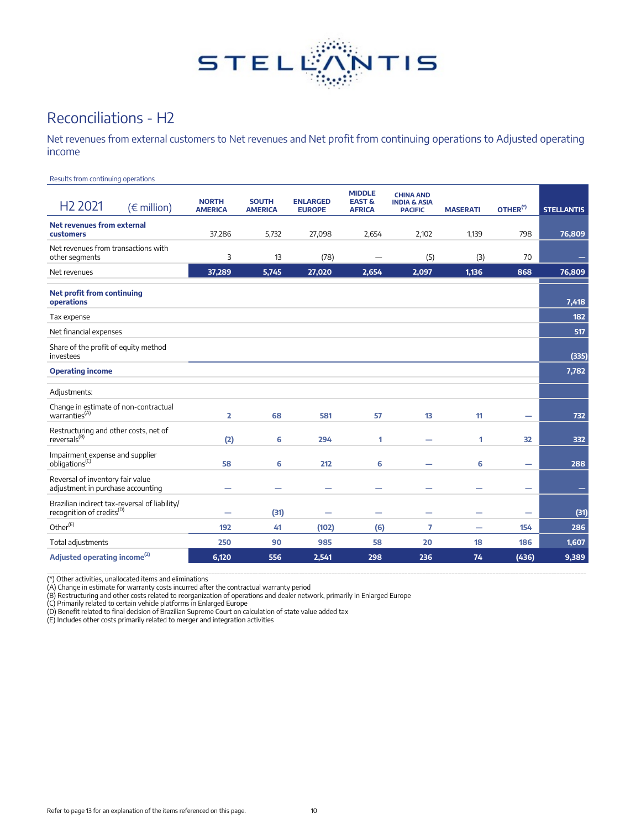

# Reconciliations - H2

Net revenues from external customers to Net revenues and Net profit from continuing operations to Adjusted operating income

Results from continuing operations

| H <sub>2</sub> 2021                                                                    | $(\in$ million) | <b>NORTH</b><br><b>AMERICA</b> | <b>SOUTH</b><br><b>AMERICA</b> | <b>ENLARGED</b><br><b>EUROPE</b> | <b>MIDDLE</b><br><b>EAST &amp;</b><br><b>AFRICA</b> | <b>CHINA AND</b><br><b>INDIA &amp; ASIA</b><br><b>PACIFIC</b> | <b>MASERATI</b> | OTHER <sup>(*)</sup>     | <b>STELLANTIS</b> |
|----------------------------------------------------------------------------------------|-----------------|--------------------------------|--------------------------------|----------------------------------|-----------------------------------------------------|---------------------------------------------------------------|-----------------|--------------------------|-------------------|
| Net revenues from external<br>customers                                                |                 | 37,286                         | 5,732                          | 27,098                           | 2,654                                               | 2,102                                                         | 1,139           | 798                      | 76,809            |
| Net revenues from transactions with<br>other segments                                  |                 | 3                              | 13                             | (78)                             |                                                     | (5)                                                           | (3)             | 70                       |                   |
| Net revenues                                                                           |                 | 37,289                         | 5,745                          | 27,020                           | 2,654                                               | 2,097                                                         | 1,136           | 868                      | 76,809            |
| <b>Net profit from continuing</b><br>operations                                        |                 |                                |                                |                                  |                                                     |                                                               |                 |                          | 7,418             |
| Tax expense                                                                            |                 |                                |                                |                                  |                                                     |                                                               |                 |                          | 182               |
| Net financial expenses                                                                 |                 |                                |                                |                                  |                                                     |                                                               |                 |                          | 517               |
| Share of the profit of equity method<br>investees                                      |                 |                                |                                |                                  |                                                     |                                                               |                 |                          | (335)             |
| <b>Operating income</b>                                                                |                 |                                |                                |                                  |                                                     |                                                               |                 |                          | 7,782             |
| Adjustments:                                                                           |                 |                                |                                |                                  |                                                     |                                                               |                 |                          |                   |
| Change in estimate of non-contractual<br>warranties <sup><math>(A)</math></sup>        |                 | $\overline{\mathbf{z}}$        | 68                             | 581                              | 57                                                  | 13                                                            | 11              | -                        | 732               |
| Restructuring and other costs, net of<br>reversals <sup>(B)</sup>                      |                 | (2)                            | 6                              | 294                              | 1                                                   |                                                               | 1               | 32                       | 332               |
| Impairment expense and supplier<br>obligations <sup>(C)</sup>                          |                 | 58                             | 6                              | 212                              | 6                                                   |                                                               | 6               | $\overline{\phantom{0}}$ | 288               |
| Reversal of inventory fair value<br>adjustment in purchase accounting                  |                 |                                |                                | -                                |                                                     |                                                               |                 | $\overline{\phantom{0}}$ | -                 |
| Brazilian indirect tax-reversal of liability/<br>recognition of credits <sup>(D)</sup> |                 | $\overline{\phantom{0}}$       | (31)                           | ۰                                | -                                                   | -                                                             | ۰               | $\overline{\phantom{0}}$ | (31)              |
| Other <sup>(E)</sup>                                                                   |                 | 192                            | 41                             | (102)                            | (6)                                                 | 7                                                             | -               | 154                      | 286               |
| Total adjustments                                                                      |                 | 250                            | 90                             | 985                              | 58                                                  | 20                                                            | 18              | 186                      | 1,607             |
| Adjusted operating income <sup>(2)</sup>                                               |                 | 6,120                          | 556                            | 2,541                            | 298                                                 | 236                                                           | 74              | (436)                    | 9,389             |

(\*) Other activities, unallocated items and eliminations<br>(A) Change in estimate for warranty costs incurred after the contractual warranty period<br>(B) Restructuring and other costs related to reorganization of operations an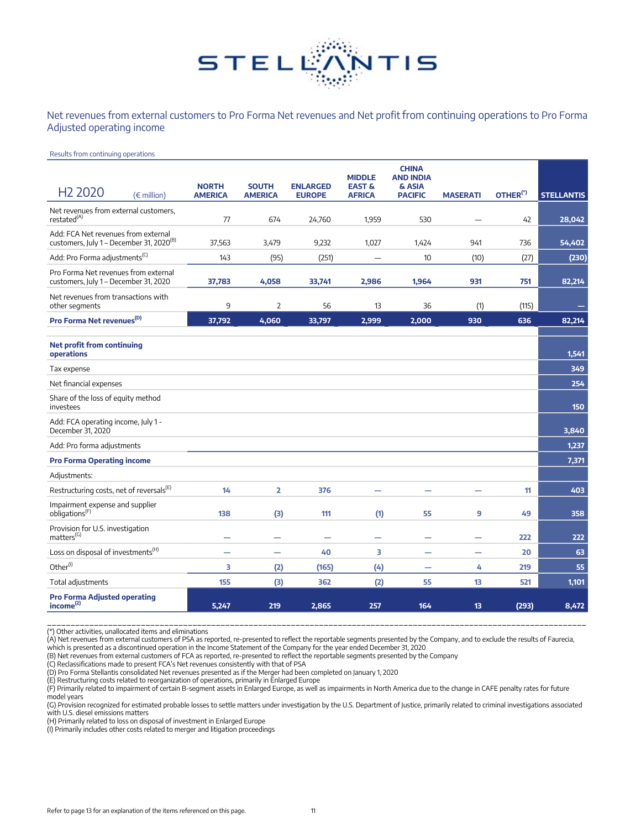

Net revenues from external customers to Pro Forma Net revenues and Net profit from continuing operations to Pro Forma Adjusted operating income

#### Results from continuing operations

|                                                                                             |                                |                                |                                  | <b>MIDDLE</b>                      | <b>CHINA</b><br><b>AND INDIA</b> |                 |                      |                   |
|---------------------------------------------------------------------------------------------|--------------------------------|--------------------------------|----------------------------------|------------------------------------|----------------------------------|-----------------|----------------------|-------------------|
| H <sub>2</sub> 2020<br>$(\in$ million)                                                      | <b>NORTH</b><br><b>AMERICA</b> | <b>SOUTH</b><br><b>AMERICA</b> | <b>ENLARGED</b><br><b>EUROPE</b> | <b>EAST &amp;</b><br><b>AFRICA</b> | & ASIA<br><b>PACIFIC</b>         | <b>MASERATI</b> | OTHER <sup>(*)</sup> | <b>STELLANTIS</b> |
| Net revenues from external customers,<br>restated <sup>(A)</sup>                            | 77                             | 674                            | 24,760                           | 1,959                              | 530                              |                 | 42                   | 28,042            |
| Add: FCA Net revenues from external<br>customers, July 1 - December 31, 2020 <sup>(B)</sup> | 37,563                         | 3,479                          | 9,232                            | 1,027                              | 1,424                            | 941             | 736                  | 54,402            |
| Add: Pro Forma adjustments <sup>(C)</sup>                                                   | 143                            | (95)                           | (251)                            |                                    | 10                               | (10)            | (27)                 | (230)             |
| Pro Forma Net revenues from external<br>customers, July 1 - December 31, 2020               | 37,783                         | 4,058                          | 33,741                           | 2,986                              | 1,964                            | 931             | 751                  | 82,214            |
| Net revenues from transactions with<br>other segments                                       | 9                              | $\overline{2}$                 | 56                               | 13                                 | 36                               | (1)             | (115)                |                   |
| Pro Forma Net revenues <sup>(D)</sup>                                                       | 37,792                         | 4,060                          | 33,797                           | 2,999                              | 2,000                            | 930             | 636                  | 82,214            |
| <b>Net profit from continuing</b><br>operations                                             |                                |                                |                                  |                                    |                                  |                 |                      | 1,541             |
| Tax expense                                                                                 |                                |                                |                                  |                                    |                                  |                 |                      | 349               |
| Net financial expenses                                                                      |                                |                                |                                  |                                    |                                  |                 |                      | 254               |
| Share of the loss of equity method<br>investees                                             |                                |                                |                                  |                                    |                                  |                 |                      | 150               |
| Add: FCA operating income, July 1 -<br>December 31, 2020                                    |                                |                                |                                  |                                    |                                  |                 |                      | 3,840             |
| Add: Pro forma adjustments                                                                  |                                |                                |                                  |                                    |                                  |                 |                      | 1,237             |
| <b>Pro Forma Operating income</b>                                                           |                                |                                |                                  |                                    |                                  |                 |                      | 7,371             |
| Adjustments:                                                                                |                                |                                |                                  |                                    |                                  |                 |                      |                   |
| Restructuring costs, net of reversals <sup>(E)</sup>                                        | 14                             | $\overline{2}$                 | 376                              |                                    |                                  |                 | 11                   | 403               |
| Impairment expense and supplier<br>obligations <sup>(F)</sup>                               | 138                            | (3)                            | 111                              | (1)                                | 55                               | 9               | 49                   | 358               |
| Provision for U.S. investigation<br>matters <sup>(G)</sup>                                  | -                              |                                | -                                | -                                  | -                                | -               | 222                  | 222               |
| Loss on disposal of investments <sup>(H)</sup>                                              |                                |                                | 40                               | 3                                  |                                  | -               | 20                   | 63                |
| Other <sup>(1)</sup>                                                                        | 3                              | (2)                            | (165)                            | (4)                                | -                                | 4               | 219                  | 55                |
| Total adjustments                                                                           | 155                            | (3)                            | 362                              | (2)                                | 55                               | 13              | 521                  | 1,101             |
| <b>Pro Forma Adjusted operating</b><br>income <sup>(2)</sup>                                | 5.247                          | 219                            | 2,865                            | 257                                | 164                              | 13              | (293)                | 8,472             |

(A) Net revenues from external customers of PSA as reported, re-presented to reflect the reportable segments presented by the Company, and to exclude the results of Faurecia,<br>(A) Net revenues from external customers of PSA

model years

(G) Provision recognized for estimated probable losses to settle matters under investigation by the U.S. Department of Justice, primarily related to criminal investigations associated with U.S. diesel emissions matters

(H) Primarily related to loss on disposal of investment in Enlarged Europe

(I) Primarily includes other costs related to merger and litigation proceedings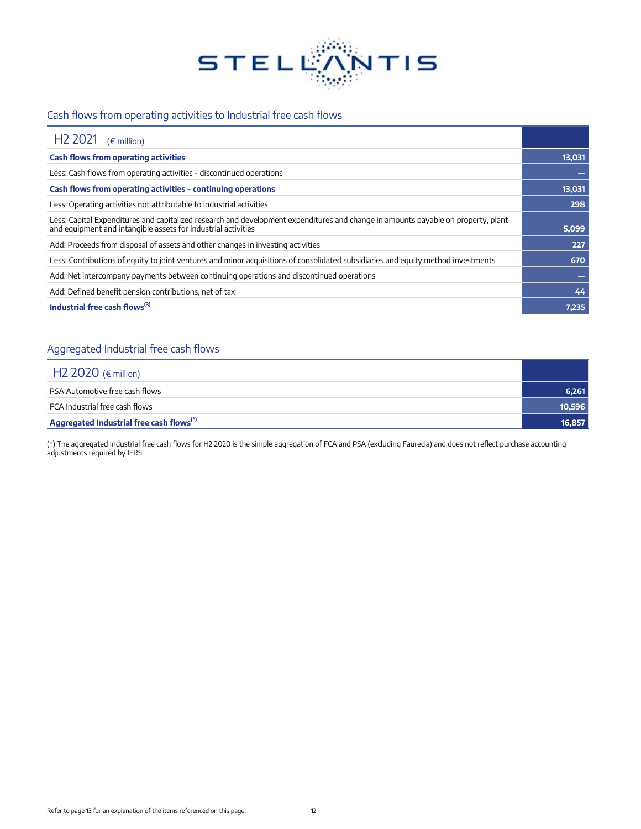

## Cash flows from operating activities to Industrial free cash flows

| H <sub>2</sub> 2021<br>$(\epsilon$ million)                                                                                                                                                        |        |
|----------------------------------------------------------------------------------------------------------------------------------------------------------------------------------------------------|--------|
| <b>Cash flows from operating activities</b>                                                                                                                                                        | 13,031 |
| Less: Cash flows from operating activities - discontinued operations                                                                                                                               |        |
| Cash flows from operating activities - continuing operations                                                                                                                                       | 13,031 |
| Less: Operating activities not attributable to industrial activities                                                                                                                               | 298    |
| Less: Capital Expenditures and capitalized research and development expenditures and change in amounts payable on property, plant<br>and equipment and intangible assets for industrial activities | 5,099  |
| Add: Proceeds from disposal of assets and other changes in investing activities                                                                                                                    | 227    |
| Less: Contributions of equity to joint ventures and minor acquisitions of consolidated subsidiaries and equity method investments                                                                  | 670    |
| Add: Net intercompany payments between continuing operations and discontinued operations                                                                                                           |        |
| Add: Defined benefit pension contributions, net of tax                                                                                                                                             | 44     |
| Industrial free cash flows $^{(3)}$                                                                                                                                                                | 7,235  |

## Aggregated Industrial free cash flows

| H <sub>2</sub> 2020 ( $\epsilon$ million)            |        |
|------------------------------------------------------|--------|
| PSA Automotive free cash flows                       | 6,261  |
| FCA Industrial free cash flows                       | 10,596 |
| Aggregated Industrial free cash flows <sup>(*)</sup> | 16,857 |

(\*) The aggregated Industrial free cash flows for H2 2020 is the simple aggregation of FCA and PSA (excluding Faurecia) and does not reflect purchase accounting adjustments required by IFRS.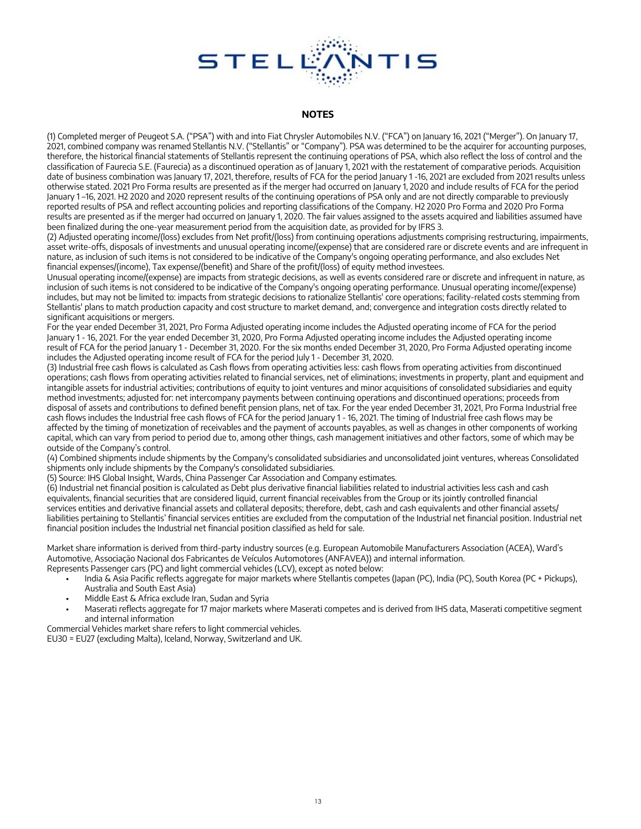

#### **NOTES**

(1) Completed merger of Peugeot S.A. ("PSA") with and into Fiat Chrysler Automobiles N.V. ("FCA") on January 16, 2021 ("Merger"). On January 17, 2021, combined company was renamed Stellantis N.V. ("Stellantis" or "Company"). PSA was determined to be the acquirer for accounting purposes, therefore, the historical financial statements of Stellantis represent the continuing operations of PSA, which also reflect the loss of control and the classification of Faurecia S.E. (Faurecia) as a discontinued operation as of January 1, 2021 with the restatement of comparative periods. Acquisition date of business combination was January 17, 2021, therefore, results of FCA for the period January 1 -16, 2021 are excluded from 2021 results unless otherwise stated. 2021 Pro Forma results are presented as if the merger had occurred on January 1, 2020 and include results of FCA for the period January 1 –16, 2021. H2 2020 and 2020 represent results of the continuing operations of PSA only and are not directly comparable to previously reported results of PSA and reflect accounting policies and reporting classifications of the Company. H2 2020 Pro Forma and 2020 Pro Forma results are presented as if the merger had occurred on January 1, 2020. The fair values assigned to the assets acquired and liabilities assumed have been finalized during the one-year measurement period from the acquisition date, as provided for by IFRS 3.

(2) Adjusted operating income/(loss) excludes from Net profit/(loss) from continuing operations adjustments comprising restructuring, impairments, asset write-offs, disposals of investments and unusual operating income/(expense) that are considered rare or discrete events and are infrequent in nature, as inclusion of such items is not considered to be indicative of the Company's ongoing operating performance, and also excludes Net financial expenses/(income), Tax expense/(benefit) and Share of the profit/(loss) of equity method investees.

Unusual operating income/(expense) are impacts from strategic decisions, as well as events considered rare or discrete and infrequent in nature, as inclusion of such items is not considered to be indicative of the Company's ongoing operating performance. Unusual operating income/(expense) includes, but may not be limited to: impacts from strategic decisions to rationalize Stellantis' core operations; facility-related costs stemming from Stellantis' plans to match production capacity and cost structure to market demand, and; convergence and integration costs directly related to significant acquisitions or mergers.

For the year ended December 31, 2021, Pro Forma Adjusted operating income includes the Adjusted operating income of FCA for the period January 1 - 16, 2021. For the year ended December 31, 2020, Pro Forma Adjusted operating income includes the Adjusted operating income result of FCA for the period January 1 - December 31, 2020. For the six months ended December 31, 2020, Pro Forma Adjusted operating income includes the Adjusted operating income result of FCA for the period July 1 - December 31, 2020.

(3) Industrial free cash flows is calculated as Cash flows from operating activities less: cash flows from operating activities from discontinued operations; cash flows from operating activities related to financial services, net of eliminations; investments in property, plant and equipment and intangible assets for industrial activities; contributions of equity to joint ventures and minor acquisitions of consolidated subsidiaries and equity method investments; adjusted for: net intercompany payments between continuing operations and discontinued operations; proceeds from disposal of assets and contributions to defined benefit pension plans, net of tax. For the year ended December 31, 2021, Pro Forma Industrial free cash flows includes the Industrial free cash flows of FCA for the period January 1 - 16, 2021. The timing of Industrial free cash flows may be affected by the timing of monetization of receivables and the payment of accounts payables, as well as changes in other components of working capital, which can vary from period to period due to, among other things, cash management initiatives and other factors, some of which may be outside of the Company's control.

(4) Combined shipments include shipments by the Company's consolidated subsidiaries and unconsolidated joint ventures, whereas Consolidated shipments only include shipments by the Company's consolidated subsidiaries.

(5) Source: IHS Global Insight, Wards, China Passenger Car Association and Company estimates.

(6) Industrial net financial position is calculated as Debt plus derivative financial liabilities related to industrial activities less cash and cash equivalents, financial securities that are considered liquid, current financial receivables from the Group or its jointly controlled financial services entities and derivative financial assets and collateral deposits; therefore, debt, cash and cash equivalents and other financial assets/ liabilities pertaining to Stellantis' financial services entities are excluded from the computation of the Industrial net financial position. Industrial net financial position includes the Industrial net financial position classified as held for sale.

Market share information is derived from third-party industry sources (e.g. European Automobile Manufacturers Association (ACEA), Ward's Automotive, Associação Nacional dos Fabricantes de Veículos Automotores (ANFAVEA)) and internal information. Represents Passenger cars (PC) and light commercial vehicles (LCV), except as noted below:

- India & Asia Pacific reflects aggregate for major markets where Stellantis competes (Japan (PC), India (PC), South Korea (PC + Pickups), Australia and South East Asia)
- Middle East & Africa exclude Iran, Sudan and Syria
- Maserati reflects aggregate for 17 major markets where Maserati competes and is derived from IHS data, Maserati competitive segment and internal information

Commercial Vehicles market share refers to light commercial vehicles. EU30 = EU27 (excluding Malta), Iceland, Norway, Switzerland and UK.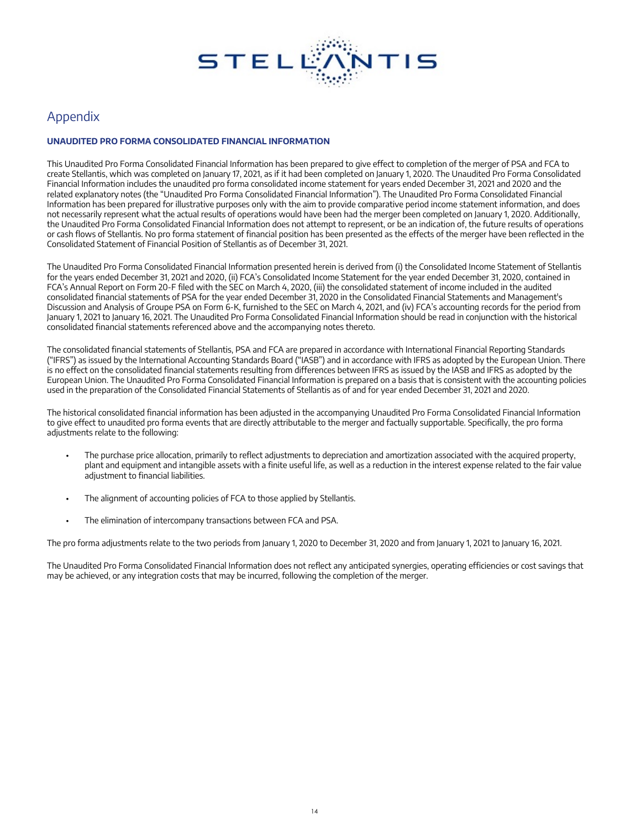

## Appendix

#### **UNAUDITED PRO FORMA CONSOLIDATED FINANCIAL INFORMATION**

This Unaudited Pro Forma Consolidated Financial Information has been prepared to give effect to completion of the merger of PSA and FCA to create Stellantis, which was completed on January 17, 2021, as if it had been completed on January 1, 2020. The Unaudited Pro Forma Consolidated Financial Information includes the unaudited pro forma consolidated income statement for years ended December 31, 2021 and 2020 and the related explanatory notes (the "Unaudited Pro Forma Consolidated Financial Information"). The Unaudited Pro Forma Consolidated Financial Information has been prepared for illustrative purposes only with the aim to provide comparative period income statement information, and does not necessarily represent what the actual results of operations would have been had the merger been completed on January 1, 2020. Additionally, the Unaudited Pro Forma Consolidated Financial Information does not attempt to represent, or be an indication of, the future results of operations or cash flows of Stellantis. No pro forma statement of financial position has been presented as the effects of the merger have been reflected in the Consolidated Statement of Financial Position of Stellantis as of December 31, 2021.

The Unaudited Pro Forma Consolidated Financial Information presented herein is derived from (i) the Consolidated Income Statement of Stellantis for the years ended December 31, 2021 and 2020, (ii) FCA's Consolidated Income Statement for the year ended December 31, 2020, contained in FCA's Annual Report on Form 20-F filed with the SEC on March 4, 2020, (iii) the consolidated statement of income included in the audited consolidated financial statements of PSA for the year ended December 31, 2020 in the Consolidated Financial Statements and Management's Discussion and Analysis of Groupe PSA on Form 6-K, furnished to the SEC on March 4, 2021, and (iv) FCA's accounting records for the period from January 1, 2021 to January 16, 2021. The Unaudited Pro Forma Consolidated Financial Information should be read in conjunction with the historical consolidated financial statements referenced above and the accompanying notes thereto.

The consolidated financial statements of Stellantis, PSA and FCA are prepared in accordance with International Financial Reporting Standards ("IFRS") as issued by the International Accounting Standards Board ("IASB") and in accordance with IFRS as adopted by the European Union. There is no effect on the consolidated financial statements resulting from differences between IFRS as issued by the IASB and IFRS as adopted by the European Union. The Unaudited Pro Forma Consolidated Financial Information is prepared on a basis that is consistent with the accounting policies used in the preparation of the Consolidated Financial Statements of Stellantis as of and for year ended December 31, 2021 and 2020.

The historical consolidated financial information has been adjusted in the accompanying Unaudited Pro Forma Consolidated Financial Information to give effect to unaudited pro forma events that are directly attributable to the merger and factually supportable. Specifically, the pro forma adjustments relate to the following:

- The purchase price allocation, primarily to reflect adjustments to depreciation and amortization associated with the acquired property, plant and equipment and intangible assets with a finite useful life, as well as a reduction in the interest expense related to the fair value adjustment to financial liabilities.
- The alignment of accounting policies of FCA to those applied by Stellantis.
- The elimination of intercompany transactions between FCA and PSA.

The pro forma adjustments relate to the two periods from January 1, 2020 to December 31, 2020 and from January 1, 2021 to January 16, 2021.

The Unaudited Pro Forma Consolidated Financial Information does not reflect any anticipated synergies, operating efficiencies or cost savings that may be achieved, or any integration costs that may be incurred, following the completion of the merger.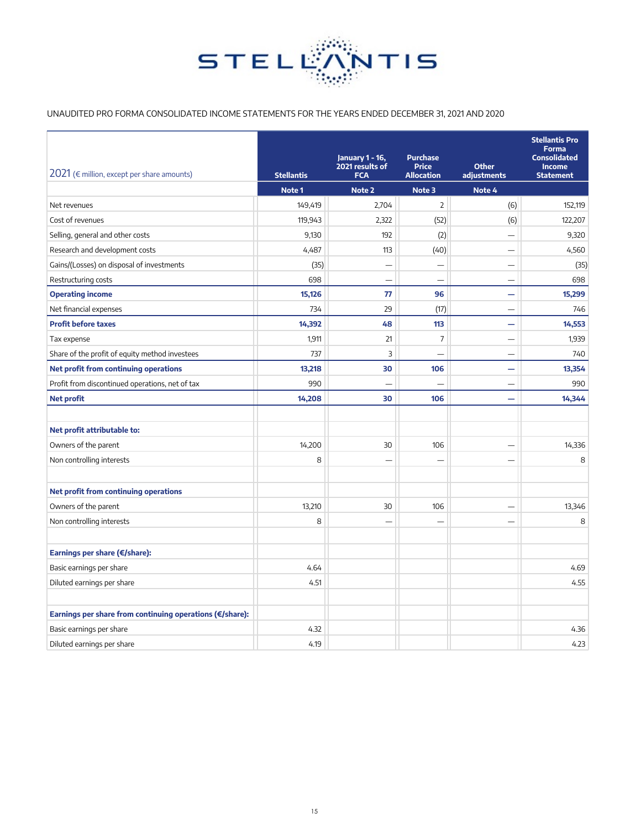

#### UNAUDITED PRO FORMA CONSOLIDATED INCOME STATEMENTS FOR THE YEARS ENDED DECEMBER 31, 2021 AND 2020

| 2021 ( $\epsilon$ million, except per share amounts)     | <b>Stellantis</b> | January 1 - 16,<br>2021 results of<br><b>FCA</b> | <b>Purchase</b><br><b>Price</b><br><b>Allocation</b> | <b>Other</b><br>adjustments | <b>Stellantis Pro</b><br><b>Forma</b><br><b>Consolidated</b><br><b>Income</b><br><b>Statement</b> |
|----------------------------------------------------------|-------------------|--------------------------------------------------|------------------------------------------------------|-----------------------------|---------------------------------------------------------------------------------------------------|
|                                                          | Note 1            | Note 2                                           | Note 3                                               | Note 4                      |                                                                                                   |
| Net revenues                                             | 149,419           | 2,704                                            | $\overline{2}$                                       | (6)                         | 152,119                                                                                           |
| Cost of revenues                                         | 119,943           | 2,322                                            | (52)                                                 | (6)                         | 122,207                                                                                           |
| Selling, general and other costs                         | 9,130             | 192                                              | (2)                                                  |                             | 9,320                                                                                             |
| Research and development costs                           | 4,487             | 113                                              | (40)                                                 |                             | 4,560                                                                                             |
| Gains/(Losses) on disposal of investments                | (35)              | $\overline{\phantom{0}}$                         | $\overline{\phantom{0}}$                             | $\overline{\phantom{0}}$    | (35)                                                                                              |
| Restructuring costs                                      | 698               | $\overline{\phantom{0}}$                         | $\overline{\phantom{0}}$                             | $\overline{\phantom{0}}$    | 698                                                                                               |
| <b>Operating income</b>                                  | 15,126            | 77                                               | 96                                                   | $\overline{\phantom{0}}$    | 15,299                                                                                            |
| Net financial expenses                                   | 734               | 29                                               | (17)                                                 | -                           | 746                                                                                               |
| <b>Profit before taxes</b>                               | 14,392            | 48                                               | 113                                                  | $\overline{\phantom{0}}$    | 14,553                                                                                            |
| Tax expense                                              | 1,911             | 21                                               | $\overline{7}$                                       |                             | 1,939                                                                                             |
| Share of the profit of equity method investees           | 737               | 3                                                |                                                      | ÷.                          | 740                                                                                               |
| Net profit from continuing operations                    | 13,218            | 30                                               | 106                                                  | -                           | 13,354                                                                                            |
| Profit from discontinued operations, net of tax          | 990               | $\overline{\phantom{0}}$                         |                                                      | $\overline{\phantom{0}}$    | 990                                                                                               |
| <b>Net profit</b>                                        | 14,208            | 30                                               | 106                                                  | $\overline{\phantom{0}}$    | 14,344                                                                                            |
|                                                          |                   |                                                  |                                                      |                             |                                                                                                   |
| Net profit attributable to:                              |                   |                                                  |                                                      |                             |                                                                                                   |
| Owners of the parent                                     | 14,200            | 30                                               | 106                                                  |                             | 14,336                                                                                            |
| Non controlling interests                                | 8                 | $\overline{\phantom{0}}$                         | -                                                    | -                           | 8                                                                                                 |
|                                                          |                   |                                                  |                                                      |                             |                                                                                                   |
| Net profit from continuing operations                    |                   |                                                  |                                                      |                             |                                                                                                   |
| Owners of the parent                                     | 13,210            | 30                                               | 106                                                  | $\overline{\phantom{0}}$    | 13,346                                                                                            |
| Non controlling interests                                | 8                 |                                                  |                                                      | $\overline{\phantom{0}}$    | 8                                                                                                 |
|                                                          |                   |                                                  |                                                      |                             |                                                                                                   |
| Earnings per share (€/share):                            |                   |                                                  |                                                      |                             |                                                                                                   |
| Basic earnings per share                                 | 4.64              |                                                  |                                                      |                             | 4.69                                                                                              |
| Diluted earnings per share                               | 4.51              |                                                  |                                                      |                             | 4.55                                                                                              |
|                                                          |                   |                                                  |                                                      |                             |                                                                                                   |
| Earnings per share from continuing operations (€/share): |                   |                                                  |                                                      |                             |                                                                                                   |
| Basic earnings per share                                 | 4.32              |                                                  |                                                      |                             | 4.36                                                                                              |
| Diluted earnings per share                               | 4.19              |                                                  |                                                      |                             | 4.23                                                                                              |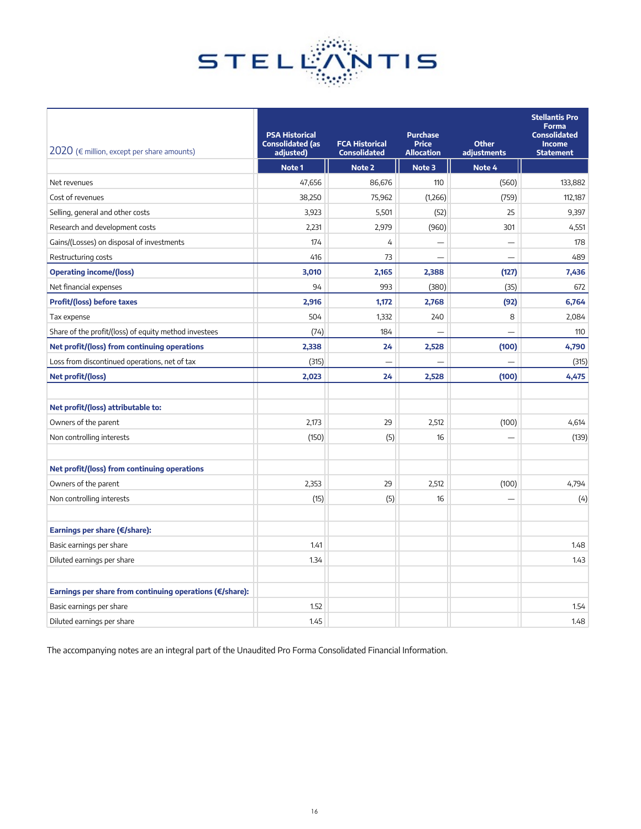

| 2020 (€ million, except per share amounts)               | <b>PSA Historical</b><br><b>Consolidated (as</b><br>adjusted) | <b>FCA Historical</b><br><b>Consolidated</b> | <b>Purchase</b><br><b>Price</b><br><b>Allocation</b> | <b>Other</b><br>adjustments | <b>Stellantis Pro</b><br><b>Forma</b><br><b>Consolidated</b><br><b>Income</b><br><b>Statement</b> |
|----------------------------------------------------------|---------------------------------------------------------------|----------------------------------------------|------------------------------------------------------|-----------------------------|---------------------------------------------------------------------------------------------------|
|                                                          | Note 1                                                        | Note 2                                       | Note 3                                               | Note 4                      |                                                                                                   |
| Net revenues                                             | 47,656                                                        | 86,676                                       | 110                                                  | (560)                       | 133,882                                                                                           |
| Cost of revenues                                         | 38,250                                                        | 75,962                                       | (1,266)                                              | (759)                       | 112,187                                                                                           |
| Selling, general and other costs                         | 3,923                                                         | 5,501                                        | (52)                                                 | 25                          | 9,397                                                                                             |
| Research and development costs                           | 2,231                                                         | 2,979                                        | (960)                                                | 301                         | 4,551                                                                                             |
| Gains/(Losses) on disposal of investments                | 174                                                           | $\overline{4}$                               |                                                      | $\overline{\phantom{0}}$    | 178                                                                                               |
| Restructuring costs                                      | 416                                                           | 73                                           |                                                      |                             | 489                                                                                               |
| <b>Operating income/(loss)</b>                           | 3,010                                                         | 2,165                                        | 2,388                                                | (127)                       | 7,436                                                                                             |
| Net financial expenses                                   | 94                                                            | 993                                          | (380)                                                | (35)                        | 672                                                                                               |
| <b>Profit/(loss) before taxes</b>                        | 2,916                                                         | 1,172                                        | 2,768                                                | (92)                        | 6,764                                                                                             |
| Tax expense                                              | 504                                                           | 1,332                                        | 240                                                  | 8                           | 2,084                                                                                             |
| Share of the profit/(loss) of equity method investees    | (74)                                                          | 184                                          |                                                      |                             | 110                                                                                               |
| Net profit/(loss) from continuing operations             | 2,338                                                         | 24                                           | 2,528                                                | (100)                       | 4,790                                                                                             |
| Loss from discontinued operations, net of tax            | (315)                                                         |                                              |                                                      |                             | (315)                                                                                             |
| Net profit/(loss)                                        | 2,023                                                         | 24                                           | 2,528                                                | (100)                       | 4,475                                                                                             |
|                                                          |                                                               |                                              |                                                      |                             |                                                                                                   |
| Net profit/(loss) attributable to:                       |                                                               |                                              |                                                      |                             |                                                                                                   |
| Owners of the parent                                     | 2,173                                                         | 29                                           | 2,512                                                | (100)                       | 4,614                                                                                             |
| Non controlling interests                                | (150)                                                         | (5)                                          | 16                                                   |                             | (139)                                                                                             |
|                                                          |                                                               |                                              |                                                      |                             |                                                                                                   |
| Net profit/(loss) from continuing operations             |                                                               |                                              |                                                      |                             |                                                                                                   |
| Owners of the parent                                     | 2,353                                                         | 29                                           | 2,512                                                | (100)                       | 4,794                                                                                             |
| Non controlling interests                                | (15)                                                          | (5)                                          | 16                                                   |                             | (4)                                                                                               |
|                                                          |                                                               |                                              |                                                      |                             |                                                                                                   |
| Earnings per share (€/share):                            |                                                               |                                              |                                                      |                             |                                                                                                   |
| Basic earnings per share                                 | 1.41                                                          |                                              |                                                      |                             | 1.48                                                                                              |
| Diluted earnings per share                               | 1.34                                                          |                                              |                                                      |                             | 1.43                                                                                              |
|                                                          |                                                               |                                              |                                                      |                             |                                                                                                   |
| Earnings per share from continuing operations (€/share): |                                                               |                                              |                                                      |                             |                                                                                                   |
| Basic earnings per share                                 | 1.52                                                          |                                              |                                                      |                             | 1.54                                                                                              |
| Diluted earnings per share                               | 1.45                                                          |                                              |                                                      |                             | 1.48                                                                                              |

The accompanying notes are an integral part of the Unaudited Pro Forma Consolidated Financial Information.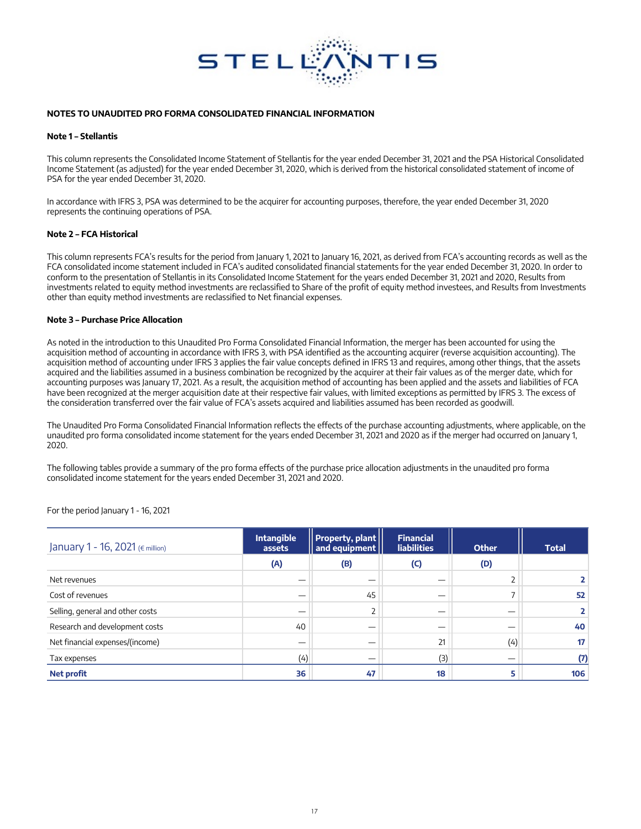

#### **NOTES TO UNAUDITED PRO FORMA CONSOLIDATED FINANCIAL INFORMATION**

#### **Note 1 – Stellantis**

This column represents the Consolidated Income Statement of Stellantis for the year ended December 31, 2021 and the PSA Historical Consolidated Income Statement (as adjusted) for the year ended December 31, 2020, which is derived from the historical consolidated statement of income of PSA for the year ended December 31, 2020.

In accordance with IFRS 3, PSA was determined to be the acquirer for accounting purposes, therefore, the year ended December 31, 2020 represents the continuing operations of PSA.

#### **Note 2 – FCA Historical**

This column represents FCA's results for the period from January 1, 2021 to January 16, 2021, as derived from FCA's accounting records as well as the FCA consolidated income statement included in FCA's audited consolidated financial statements for the year ended December 31, 2020. In order to conform to the presentation of Stellantis in its Consolidated Income Statement for the years ended December 31, 2021 and 2020, Results from investments related to equity method investments are reclassified to Share of the profit of equity method investees, and Results from Investments other than equity method investments are reclassified to Net financial expenses.

#### **Note 3 – Purchase Price Allocation**

As noted in the introduction to this Unaudited Pro Forma Consolidated Financial Information, the merger has been accounted for using the acquisition method of accounting in accordance with IFRS 3, with PSA identified as the accounting acquirer (reverse acquisition accounting). The acquisition method of accounting under IFRS 3 applies the fair value concepts defined in IFRS 13 and requires, among other things, that the assets acquired and the liabilities assumed in a business combination be recognized by the acquirer at their fair values as of the merger date, which for accounting purposes was January 17, 2021. As a result, the acquisition method of accounting has been applied and the assets and liabilities of FCA have been recognized at the merger acquisition date at their respective fair values, with limited exceptions as permitted by IFRS 3. The excess of the consideration transferred over the fair value of FCA's assets acquired and liabilities assumed has been recorded as goodwill.

The Unaudited Pro Forma Consolidated Financial Information reflects the effects of the purchase accounting adjustments, where applicable, on the unaudited pro forma consolidated income statement for the years ended December 31, 2021 and 2020 as if the merger had occurred on January 1, 2020.

The following tables provide a summary of the pro forma effects of the purchase price allocation adjustments in the unaudited pro forma consolidated income statement for the years ended December 31, 2021 and 2020.

For the period January 1 - 16, 2021

| January 1 - 16, 2021 (€ million) | <b>Intangible</b><br>assets | <b>Property, plant</b><br>and equipment $  $ | <b>Financial</b><br><b>liabilities</b> | <b>Other</b> | <b>Total</b> |
|----------------------------------|-----------------------------|----------------------------------------------|----------------------------------------|--------------|--------------|
|                                  | (A)                         | (B)                                          | (C)                                    | (D)          |              |
| Net revenues                     |                             |                                              |                                        |              |              |
| Cost of revenues                 |                             | 45                                           | –                                      |              | 52           |
| Selling, general and other costs |                             |                                              |                                        |              |              |
| Research and development costs   | 40                          |                                              |                                        |              | 40           |
| Net financial expenses/(income)  |                             |                                              | 21                                     | (4)          | 17           |
| Tax expenses                     | (4)                         |                                              | (3)                                    | —            | (7)          |
| <b>Net profit</b>                | 36                          | 47                                           | 18                                     | 5            | 106          |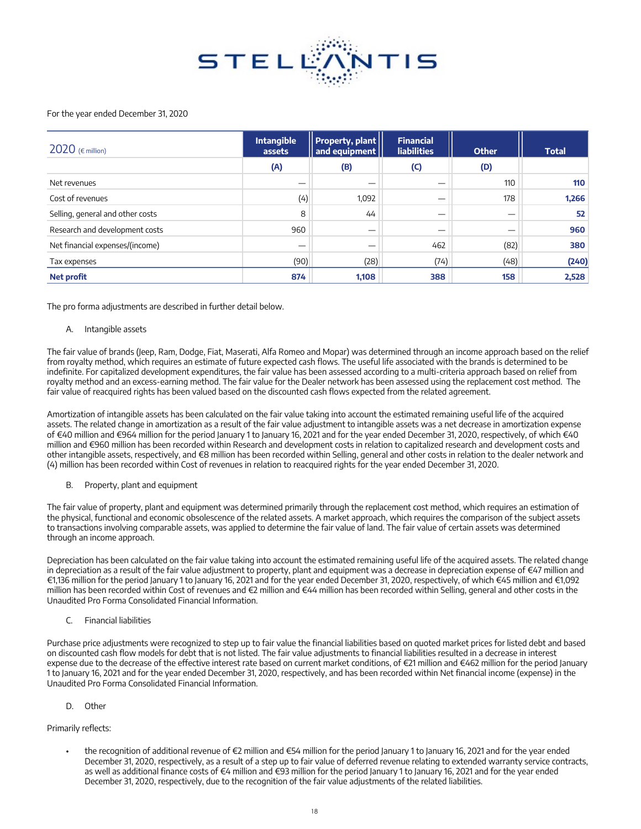

#### For the year ended December 31, 2020

| 2020 ( $\epsilon$ million)       | <b>Property, plant</b><br><b>Intangible</b><br>and equipment   <br>assets |       | <b>Financial</b><br><b>liabilities</b> | <b>Other</b> | <b>Total</b> |
|----------------------------------|---------------------------------------------------------------------------|-------|----------------------------------------|--------------|--------------|
|                                  | (A)                                                                       | (B)   | $\mathsf{(C)}$                         | (D)          |              |
| Net revenues                     |                                                                           |       |                                        | 110          | 110          |
| Cost of revenues                 | (4)                                                                       | 1,092 |                                        | 178          | 1,266        |
| Selling, general and other costs | 8                                                                         | 44    |                                        |              | 52           |
| Research and development costs   | 960                                                                       |       |                                        |              | 960          |
| Net financial expenses/(income)  |                                                                           |       | 462                                    | (82)         | 380          |
| Tax expenses                     | (90)                                                                      | (28)  | (74)                                   | (48)         | (240)        |
| <b>Net profit</b>                | 874                                                                       | 1.108 | 388                                    | 158          | 2,528        |

The pro forma adjustments are described in further detail below.

#### A. Intangible assets

The fair value of brands (Jeep, Ram, Dodge, Fiat, Maserati, Alfa Romeo and Mopar) was determined through an income approach based on the relief from royalty method, which requires an estimate of future expected cash flows. The useful life associated with the brands is determined to be indefinite. For capitalized development expenditures, the fair value has been assessed according to a multi-criteria approach based on relief from royalty method and an excess-earning method. The fair value for the Dealer network has been assessed using the replacement cost method. The fair value of reacquired rights has been valued based on the discounted cash flows expected from the related agreement.

Amortization of intangible assets has been calculated on the fair value taking into account the estimated remaining useful life of the acquired assets. The related change in amortization as a result of the fair value adjustment to intangible assets was a net decrease in amortization expense of €40 million and €964 million for the period January 1 to January 16, 2021 and for the year ended December 31, 2020, respectively, of which €40 million and €960 million has been recorded within Research and development costs in relation to capitalized research and development costs and other intangible assets, respectively, and €8 million has been recorded within Selling, general and other costs in relation to the dealer network and (4) million has been recorded within Cost of revenues in relation to reacquired rights for the year ended December 31, 2020.

B. Property, plant and equipment

The fair value of property, plant and equipment was determined primarily through the replacement cost method, which requires an estimation of the physical, functional and economic obsolescence of the related assets. A market approach, which requires the comparison of the subject assets to transactions involving comparable assets, was applied to determine the fair value of land. The fair value of certain assets was determined through an income approach.

Depreciation has been calculated on the fair value taking into account the estimated remaining useful life of the acquired assets. The related change in depreciation as a result of the fair value adjustment to property, plant and equipment was a decrease in depreciation expense of €47 million and €1,136 million for the period January 1 to January 16, 2021 and for the year ended December 31, 2020, respectively, of which €45 million and €1,092 million has been recorded within Cost of revenues and €2 million and €44 million has been recorded within Selling, general and other costs in the Unaudited Pro Forma Consolidated Financial Information.

C. Financial liabilities

Purchase price adjustments were recognized to step up to fair value the financial liabilities based on quoted market prices for listed debt and based on discounted cash flow models for debt that is not listed. The fair value adjustments to financial liabilities resulted in a decrease in interest expense due to the decrease of the effective interest rate based on current market conditions, of €21 million and €462 million for the period January 1 to January 16, 2021 and for the year ended December 31, 2020, respectively, and has been recorded within Net financial income (expense) in the Unaudited Pro Forma Consolidated Financial Information.

D. Other

#### Primarily reflects:

• the recognition of additional revenue of €2 million and €54 million for the period January 1 to January 16, 2021 and for the year ended December 31, 2020, respectively, as a result of a step up to fair value of deferred revenue relating to extended warranty service contracts, as well as additional finance costs of €4 million and €93 million for the period January 1 to January 16, 2021 and for the year ended December 31, 2020, respectively, due to the recognition of the fair value adjustments of the related liabilities.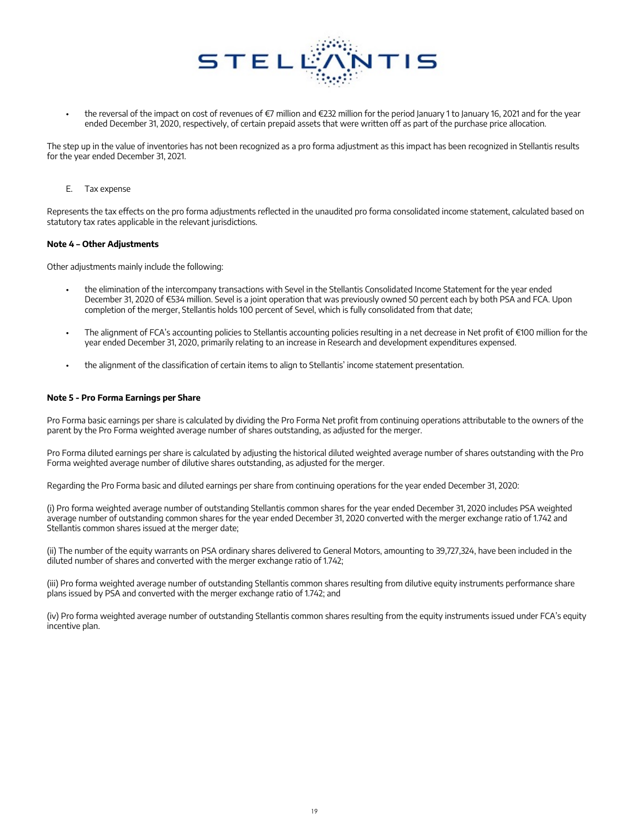

the reversal of the impact on cost of revenues of €7 million and €232 million for the period January 1 to January 16, 2021 and for the year ended December 31, 2020, respectively, of certain prepaid assets that were written off as part of the purchase price allocation.

The step up in the value of inventories has not been recognized as a pro forma adjustment as this impact has been recognized in Stellantis results for the year ended December 31, 2021.

E. Tax expense

Represents the tax effects on the pro forma adjustments reflected in the unaudited pro forma consolidated income statement, calculated based on statutory tax rates applicable in the relevant jurisdictions.

#### **Note 4 – Other Adjustments**

Other adjustments mainly include the following:

- the elimination of the intercompany transactions with Sevel in the Stellantis Consolidated Income Statement for the year ended December 31, 2020 of €534 million. Sevel is a joint operation that was previously owned 50 percent each by both PSA and FCA. Upon completion of the merger, Stellantis holds 100 percent of Sevel, which is fully consolidated from that date;
- The alignment of FCA's accounting policies to Stellantis accounting policies resulting in a net decrease in Net profit of €100 million for the year ended December 31, 2020, primarily relating to an increase in Research and development expenditures expensed.
- the alignment of the classification of certain items to align to Stellantis' income statement presentation.

#### **Note 5 - Pro Forma Earnings per Share**

Pro Forma basic earnings per share is calculated by dividing the Pro Forma Net profit from continuing operations attributable to the owners of the parent by the Pro Forma weighted average number of shares outstanding, as adjusted for the merger.

Pro Forma diluted earnings per share is calculated by adjusting the historical diluted weighted average number of shares outstanding with the Pro Forma weighted average number of dilutive shares outstanding, as adjusted for the merger.

Regarding the Pro Forma basic and diluted earnings per share from continuing operations for the year ended December 31, 2020:

(i) Pro forma weighted average number of outstanding Stellantis common shares for the year ended December 31, 2020 includes PSA weighted average number of outstanding common shares for the year ended December 31, 2020 converted with the merger exchange ratio of 1.742 and Stellantis common shares issued at the merger date;

(ii) The number of the equity warrants on PSA ordinary shares delivered to General Motors, amounting to 39,727,324, have been included in the diluted number of shares and converted with the merger exchange ratio of 1.742;

(iii) Pro forma weighted average number of outstanding Stellantis common shares resulting from dilutive equity instruments performance share plans issued by PSA and converted with the merger exchange ratio of 1.742; and

(iv) Pro forma weighted average number of outstanding Stellantis common shares resulting from the equity instruments issued under FCA's equity incentive plan.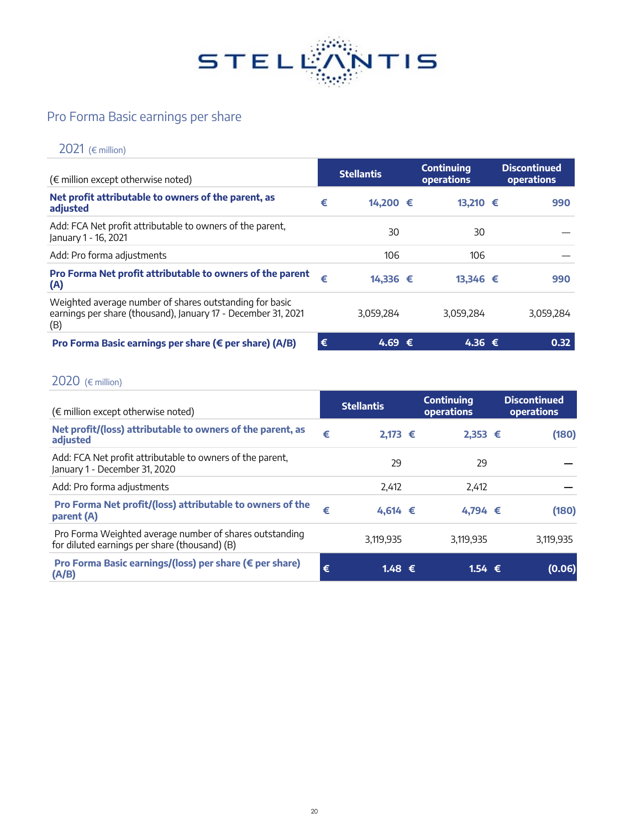

# Pro Forma Basic earnings per share

# 2021 (€ million)

| $(\epsilon$ million except otherwise noted)                                                                                     |   | <b>Stellantis</b> | <b>Continuing</b><br><b>operations</b> | <b>Discontinued</b><br><b>operations</b> |
|---------------------------------------------------------------------------------------------------------------------------------|---|-------------------|----------------------------------------|------------------------------------------|
| Net profit attributable to owners of the parent, as<br>adjusted                                                                 | € | 14,200 €          | 13,210 €                               | 990                                      |
| Add: FCA Net profit attributable to owners of the parent,<br>January 1 - 16, 2021                                               |   | 30                | 30                                     |                                          |
| Add: Pro forma adjustments                                                                                                      |   | 106               | 106                                    |                                          |
| Pro Forma Net profit attributable to owners of the parent<br>(A)                                                                | € | 14,336 €          | 13,346 €                               | 990                                      |
| Weighted average number of shares outstanding for basic<br>earnings per share (thousand), January 17 - December 31, 2021<br>(B) |   | 3,059,284         | 3.059.284                              | 3,059,284                                |
| Pro Forma Basic earnings per share (€ per share) (A/B)                                                                          | € | 4.69 €            | 4.36 €                                 | 0.32                                     |

## 2020 (€ million)

| $(\epsilon$ million except otherwise noted)                                                              |   | <b>Stellantis</b> | <b>Continuing</b><br>operations | <b>Discontinued</b><br><b>operations</b> |
|----------------------------------------------------------------------------------------------------------|---|-------------------|---------------------------------|------------------------------------------|
| Net profit/(loss) attributable to owners of the parent, as<br>adjusted                                   | € | $2,173$ €         | $2,353$ €                       | (180)                                    |
| Add: FCA Net profit attributable to owners of the parent,<br>January 1 - December 31, 2020               |   | 29                | 29                              |                                          |
| Add: Pro forma adjustments                                                                               |   | 2,412             | 2,412                           |                                          |
| Pro Forma Net profit/(loss) attributable to owners of the<br>parent (A)                                  | € | 4,614 €           | 4,794 €                         | (180)                                    |
| Pro Forma Weighted average number of shares outstanding<br>for diluted earnings per share (thousand) (B) |   | 3,119,935         | 3,119,935                       | 3,119,935                                |
| Pro Forma Basic earnings/(loss) per share (€ per share)<br>(A/B)                                         | € | $1.48 \t∈$        | 1.54 $\epsilon$                 | (0.06)                                   |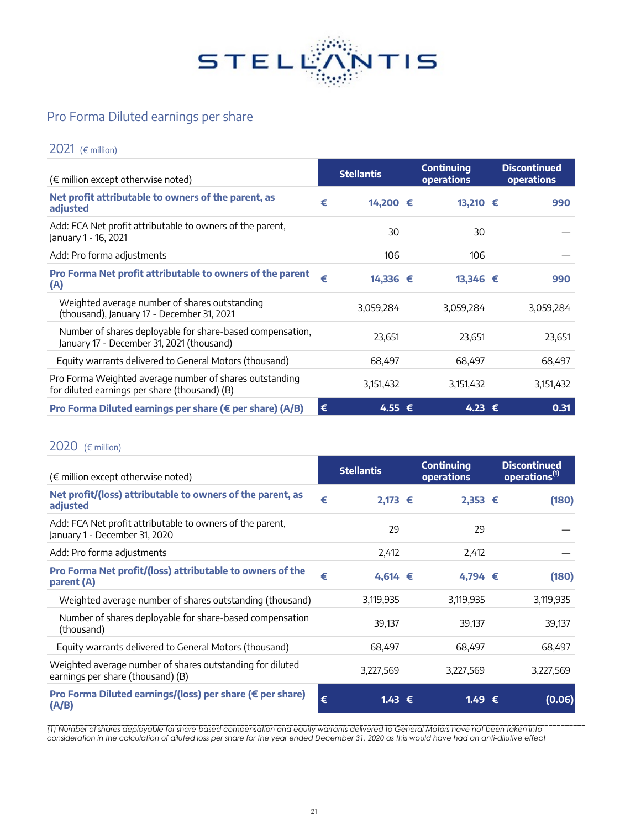

# Pro Forma Diluted earnings per share

## 2021 (€ million)

| $(\epsilon$ million except otherwise noted)                                                              |   | <b>Stellantis</b> | <b>Continuing</b><br>operations | <b>Discontinued</b><br><b>operations</b> |
|----------------------------------------------------------------------------------------------------------|---|-------------------|---------------------------------|------------------------------------------|
| Net profit attributable to owners of the parent, as<br>adjusted                                          | € | 14,200 €          | 13,210 €                        | 990                                      |
| Add: FCA Net profit attributable to owners of the parent,<br>January 1 - 16, 2021                        |   | 30                | 30                              |                                          |
| Add: Pro forma adjustments                                                                               |   | 106               | 106                             |                                          |
| Pro Forma Net profit attributable to owners of the parent<br>(A)                                         | € | 14,336 €          | 13,346 €                        | 990                                      |
| Weighted average number of shares outstanding<br>(thousand), January 17 - December 31, 2021              |   | 3,059,284         | 3,059,284                       | 3,059,284                                |
| Number of shares deployable for share-based compensation,<br>January 17 - December 31, 2021 (thousand)   |   | 23,651            | 23,651                          | 23,651                                   |
| Equity warrants delivered to General Motors (thousand)                                                   |   | 68,497            | 68,497                          | 68,497                                   |
| Pro Forma Weighted average number of shares outstanding<br>for diluted earnings per share (thousand) (B) |   | 3,151,432         | 3,151,432                       | 3,151,432                                |
| Pro Forma Diluted earnings per share (€ per share) (A/B)                                                 | € | 4.55 €            | 4.23 €                          | 0.31                                     |

## 2020 (€ million)

| $(\epsilon$ million except otherwise noted)                                                    |   | <b>Stellantis</b> | <b>Continuing</b><br>operations | <b>Discontinued</b><br>operations <sup>(1)</sup> |
|------------------------------------------------------------------------------------------------|---|-------------------|---------------------------------|--------------------------------------------------|
| Net profit/(loss) attributable to owners of the parent, as<br>adjusted                         | € | $2,173$ €         | $2,353$ €                       | (180)                                            |
| Add: FCA Net profit attributable to owners of the parent,<br>January 1 - December 31, 2020     |   | 29                | 29                              |                                                  |
| Add: Pro forma adjustments                                                                     |   | 2,412             | 2,412                           |                                                  |
| Pro Forma Net profit/(loss) attributable to owners of the<br>parent (A)                        | € | 4,614 €           | 4,794 €                         | (180)                                            |
| Weighted average number of shares outstanding (thousand)                                       |   | 3,119,935         | 3,119,935                       | 3,119,935                                        |
| Number of shares deployable for share-based compensation<br>(thousand)                         |   | 39,137            | 39,137                          | 39,137                                           |
| Equity warrants delivered to General Motors (thousand)                                         |   | 68,497            | 68,497                          | 68,497                                           |
| Weighted average number of shares outstanding for diluted<br>earnings per share (thousand) (B) |   | 3,227,569         | 3,227,569                       | 3,227,569                                        |
| Pro Forma Diluted earnings/(loss) per share (€ per share)<br>(A/B)                             | € | $1.43 \in$        | 1.49 €                          | (0.06)                                           |

\_\_\_\_\_\_\_\_\_\_\_\_\_\_\_\_\_\_\_\_\_\_\_\_\_\_\_\_\_\_\_\_\_\_\_\_\_\_\_\_\_\_\_\_\_\_\_\_\_\_\_\_\_\_\_\_\_\_\_\_\_\_\_\_\_\_\_\_\_\_\_\_\_\_\_\_\_\_\_\_\_\_\_\_\_\_\_\_\_\_\_\_\_\_\_\_\_\_\_\_\_\_\_\_\_\_\_\_\_\_\_\_\_\_\_\_\_\_\_\_\_\_\_\_\_\_\_\_\_\_\_ *(1) Number of shares deployable for share-based compensation and equity warrants delivered to General Motors have not been taken into consideration in the calculation of diluted loss per share for the year ended December 31, 2020 as this would have had an anti-dilutive effect*